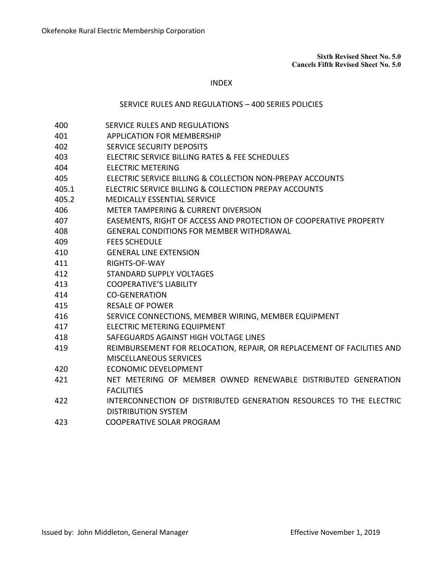**Sixth Revised Sheet No. 5.0 Cancels Fifth Revised Sheet No. 5.0**

## INDEX

## SERVICE RULES AND REGULATIONS – 400 SERIES POLICIES

- 400 SERVICE RULES AND REGULATIONS
- APPLICATION FOR MEMBERSHIP
- SERVICE SECURITY DEPOSITS
- ELECTRIC SERVICE BILLING RATES & FEE SCHEDULES
- ELECTRIC METERING
- ELECTRIC SERVICE BILLING & COLLECTION NON-PREPAY ACCOUNTS
- 405.1 ELECTRIC SERVICE BILLING & COLLECTION PREPAY ACCOUNTS
- 405.2 MEDICALLY ESSENTIAL SERVICE
- METER TAMPERING & CURRENT DIVERSION
- EASEMENTS, RIGHT OF ACCESS AND PROTECTION OF COOPERATIVE PROPERTY
- GENERAL CONDITIONS FOR MEMBER WITHDRAWAL
- FEES SCHEDULE
- GENERAL LINE EXTENSION
- RIGHTS-OF-WAY
- STANDARD SUPPLY VOLTAGES
- COOPERATIVE'S LIABILITY
- CO-GENERATION
- RESALE OF POWER
- SERVICE CONNECTIONS, MEMBER WIRING, MEMBER EQUIPMENT
- ELECTRIC METERING EQUIPMENT
- SAFEGUARDS AGAINST HIGH VOLTAGE LINES
- REIMBURSEMENT FOR RELOCATION, REPAIR, OR REPLACEMENT OF FACILITIES AND MISCELLANEOUS SERVICES
- ECONOMIC DEVELOPMENT
- NET METERING OF MEMBER OWNED RENEWABLE DISTRIBUTED GENERATION FACILITIES
- INTERCONNECTION OF DISTRIBUTED GENERATION RESOURCES TO THE ELECTRIC DISTRIBUTION SYSTEM
- 423 COOPERATIVE SOLAR PROGRAM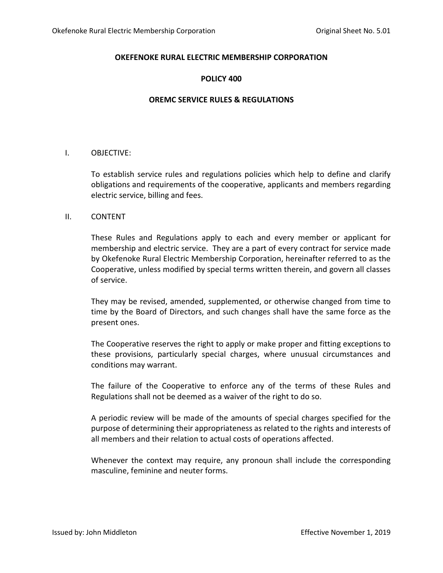## **POLICY 400**

## **OREMC SERVICE RULES & REGULATIONS**

## I. OBJECTIVE:

To establish service rules and regulations policies which help to define and clarify obligations and requirements of the cooperative, applicants and members regarding electric service, billing and fees.

## II. CONTENT

These Rules and Regulations apply to each and every member or applicant for membership and electric service. They are a part of every contract for service made by Okefenoke Rural Electric Membership Corporation, hereinafter referred to as the Cooperative, unless modified by special terms written therein, and govern all classes of service.

They may be revised, amended, supplemented, or otherwise changed from time to time by the Board of Directors, and such changes shall have the same force as the present ones.

The Cooperative reserves the right to apply or make proper and fitting exceptions to these provisions, particularly special charges, where unusual circumstances and conditions may warrant.

The failure of the Cooperative to enforce any of the terms of these Rules and Regulations shall not be deemed as a waiver of the right to do so.

A periodic review will be made of the amounts of special charges specified for the purpose of determining their appropriateness as related to the rights and interests of all members and their relation to actual costs of operations affected.

Whenever the context may require, any pronoun shall include the corresponding masculine, feminine and neuter forms.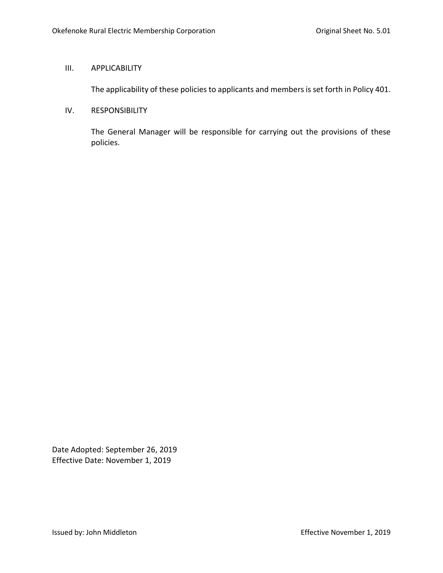## III. APPLICABILITY

The applicability of these policies to applicants and members is set forth in Policy 401.

## IV. RESPONSIBILITY

The General Manager will be responsible for carrying out the provisions of these policies.

Date Adopted: September 26, 2019 Effective Date: November 1, 2019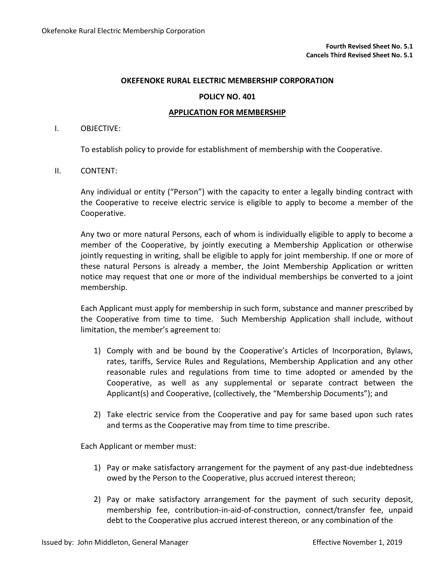### **POLICY NO. 401**

### **APPLICATION FOR MEMBERSHIP**

#### I. OBJECTIVE:

To establish policy to provide for establishment of membership with the Cooperative.

## II. CONTENT:

Any individual or entity ("Person") with the capacity to enter a legally binding contract with the Cooperative to receive electric service is eligible to apply to become a member of the Cooperative.

Any two or more natural Persons, each of whom is individually eligible to apply to become a member of the Cooperative, by jointly executing a Membership Application or otherwise jointly requesting in writing, shall be eligible to apply for joint membership. If one or more of these natural Persons is already a member, the Joint Membership Application or written notice may request that one or more of the individual memberships be converted to a joint membership.

Each Applicant must apply for membership in such form, substance and manner prescribed by the Cooperative from time to time. Such Membership Application shall include, without limitation, the member's agreement to:

- 1) Comply with and be bound by the Cooperative's Articles of Incorporation, Bylaws, rates, tariffs, Service Rules and Regulations, Membership Application and any other reasonable rules and regulations from time to time adopted or amended by the Cooperative, as well as any supplemental or separate contract between the Applicant(s) and Cooperative, (collectively, the "Membership Documents"); and
- 2) Take electric service from the Cooperative and pay for same based upon such rates and terms as the Cooperative may from time to time prescribe.

Each Applicant or member must:

- 1) Pay or make satisfactory arrangement for the payment of any past-due indebtedness owed by the Person to the Cooperative, plus accrued interest thereon;
- 2) Pay or make satisfactory arrangement for the payment of such security deposit, membership fee, contribution-in-aid-of-construction, connect/transfer fee, unpaid debt to the Cooperative plus accrued interest thereon, or any combination of the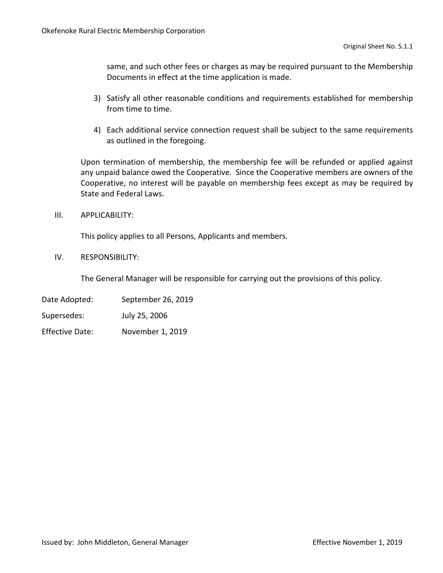same, and such other fees or charges as may be required pursuant to the Membership Documents in effect at the time application is made.

- 3) Satisfy all other reasonable conditions and requirements established for membership from time to time.
- 4) Each additional service connection request shall be subject to the same requirements as outlined in the foregoing.

Upon termination of membership, the membership fee will be refunded or applied against any unpaid balance owed the Cooperative. Since the Cooperative members are owners of the Cooperative, no interest will be payable on membership fees except as may be required by State and Federal Laws.

III. APPLICABILITY:

This policy applies to all Persons, Applicants and members.

IV. RESPONSIBILITY:

The General Manager will be responsible for carrying out the provisions of this policy.

Date Adopted: September 26, 2019

Supersedes: July 25, 2006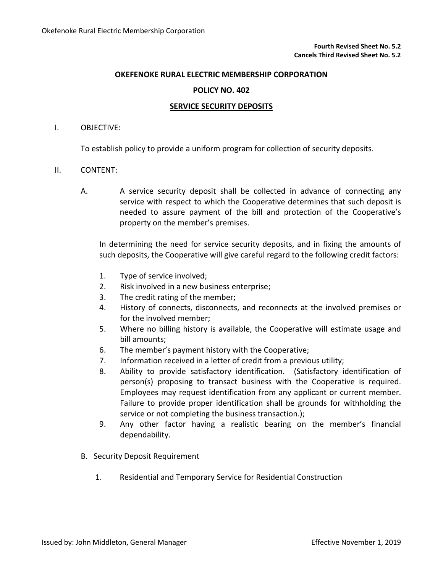## **POLICY NO. 402**

### **SERVICE SECURITY DEPOSITS**

## I. OBJECTIVE:

To establish policy to provide a uniform program for collection of security deposits.

### II. CONTENT:

A. A service security deposit shall be collected in advance of connecting any service with respect to which the Cooperative determines that such deposit is needed to assure payment of the bill and protection of the Cooperative's property on the member's premises.

In determining the need for service security deposits, and in fixing the amounts of such deposits, the Cooperative will give careful regard to the following credit factors:

- 1. Type of service involved;
- 2. Risk involved in a new business enterprise;
- 3. The credit rating of the member;
- 4. History of connects, disconnects, and reconnects at the involved premises or for the involved member;
- 5. Where no billing history is available, the Cooperative will estimate usage and bill amounts;
- 6. The member's payment history with the Cooperative;
- 7. Information received in a letter of credit from a previous utility;
- 8. Ability to provide satisfactory identification. (Satisfactory identification of person(s) proposing to transact business with the Cooperative is required. Employees may request identification from any applicant or current member. Failure to provide proper identification shall be grounds for withholding the service or not completing the business transaction.);
- 9. Any other factor having a realistic bearing on the member's financial dependability.
- B. Security Deposit Requirement
	- 1. Residential and Temporary Service for Residential Construction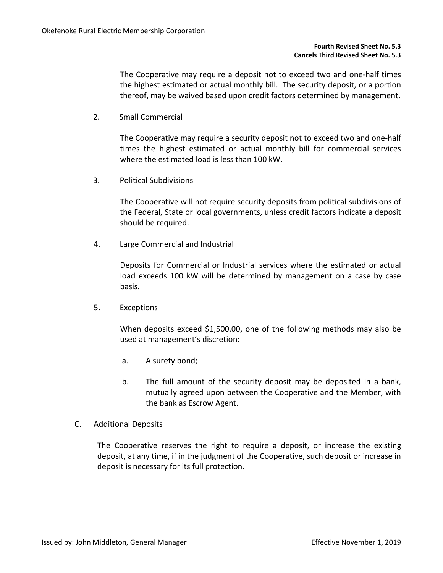The Cooperative may require a deposit not to exceed two and one-half times the highest estimated or actual monthly bill. The security deposit, or a portion thereof, may be waived based upon credit factors determined by management.

2. Small Commercial

The Cooperative may require a security deposit not to exceed two and one-half times the highest estimated or actual monthly bill for commercial services where the estimated load is less than 100 kW.

3. Political Subdivisions

The Cooperative will not require security deposits from political subdivisions of the Federal, State or local governments, unless credit factors indicate a deposit should be required.

4. Large Commercial and Industrial

Deposits for Commercial or Industrial services where the estimated or actual load exceeds 100 kW will be determined by management on a case by case basis.

5. Exceptions

When deposits exceed \$1,500.00, one of the following methods may also be used at management's discretion:

- a. A surety bond;
- b. The full amount of the security deposit may be deposited in a bank, mutually agreed upon between the Cooperative and the Member, with the bank as Escrow Agent.
- C. Additional Deposits

The Cooperative reserves the right to require a deposit, or increase the existing deposit, at any time, if in the judgment of the Cooperative, such deposit or increase in deposit is necessary for its full protection.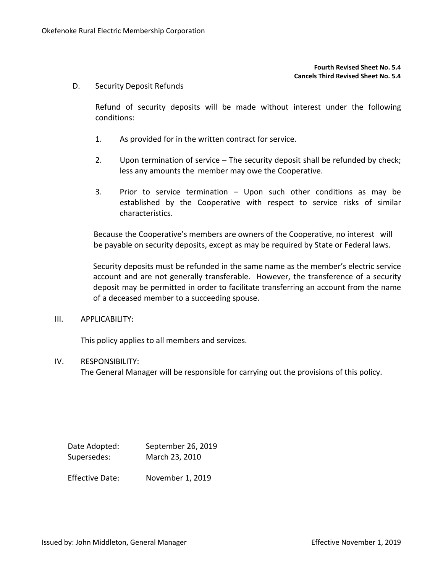#### **Fourth Revised Sheet No. 5.4 Cancels Third Revised Sheet No. 5.4**

D. Security Deposit Refunds

Refund of security deposits will be made without interest under the following conditions:

- 1. As provided for in the written contract for service.
- 2. Upon termination of service The security deposit shall be refunded by check; less any amounts the member may owe the Cooperative.
- 3. Prior to service termination Upon such other conditions as may be established by the Cooperative with respect to service risks of similar characteristics.

Because the Cooperative's members are owners of the Cooperative, no interest will be payable on security deposits, except as may be required by State or Federal laws.

Security deposits must be refunded in the same name as the member's electric service account and are not generally transferable. However, the transference of a security deposit may be permitted in order to facilitate transferring an account from the name of a deceased member to a succeeding spouse.

III. APPLICABILITY:

This policy applies to all members and services.

## IV. RESPONSIBILITY:

The General Manager will be responsible for carrying out the provisions of this policy.

| Date Adopted:          | September 26, 2019 |  |  |
|------------------------|--------------------|--|--|
| Supersedes:            | March 23, 2010     |  |  |
| <b>Effective Date:</b> | November 1, 2019   |  |  |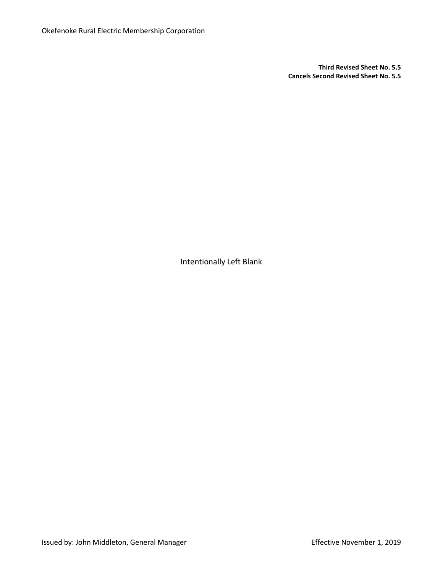**Third Revised Sheet No. 5.5 Cancels Second Revised Sheet No. 5.5**

Intentionally Left Blank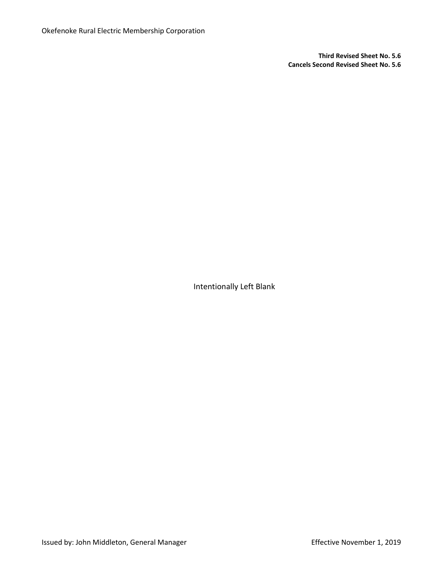**Third Revised Sheet No. 5.6 Cancels Second Revised Sheet No. 5.6**

Intentionally Left Blank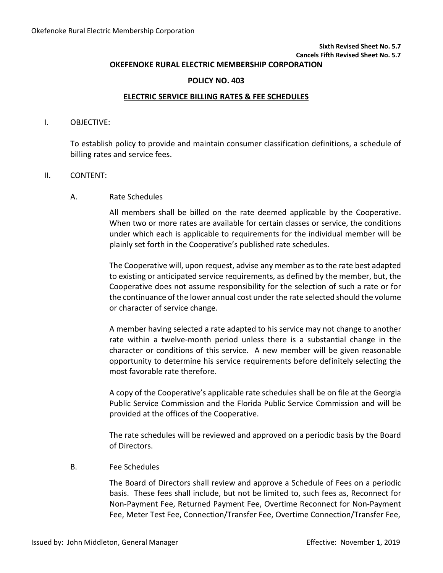# **Sixth Revised Sheet No. 5.7**

# **Cancels Fifth Revised Sheet No. 5.7**

# **OKEFENOKE RURAL ELECTRIC MEMBERSHIP CORPORATION**

## **POLICY NO. 403**

## **ELECTRIC SERVICE BILLING RATES & FEE SCHEDULES**

#### I. OBJECTIVE:

To establish policy to provide and maintain consumer classification definitions, a schedule of billing rates and service fees.

### II. CONTENT:

## A. Rate Schedules

All members shall be billed on the rate deemed applicable by the Cooperative. When two or more rates are available for certain classes or service, the conditions under which each is applicable to requirements for the individual member will be plainly set forth in the Cooperative's published rate schedules.

The Cooperative will, upon request, advise any member as to the rate best adapted to existing or anticipated service requirements, as defined by the member, but, the Cooperative does not assume responsibility for the selection of such a rate or for the continuance of the lower annual cost under the rate selected should the volume or character of service change.

A member having selected a rate adapted to his service may not change to another rate within a twelve-month period unless there is a substantial change in the character or conditions of this service. A new member will be given reasonable opportunity to determine his service requirements before definitely selecting the most favorable rate therefore.

A copy of the Cooperative's applicable rate schedules shall be on file at the Georgia Public Service Commission and the Florida Public Service Commission and will be provided at the offices of the Cooperative.

The rate schedules will be reviewed and approved on a periodic basis by the Board of Directors.

## B. Fee Schedules

The Board of Directors shall review and approve a Schedule of Fees on a periodic basis. These fees shall include, but not be limited to, such fees as, Reconnect for Non-Payment Fee, Returned Payment Fee, Overtime Reconnect for Non-Payment Fee, Meter Test Fee, Connection/Transfer Fee, Overtime Connection/Transfer Fee,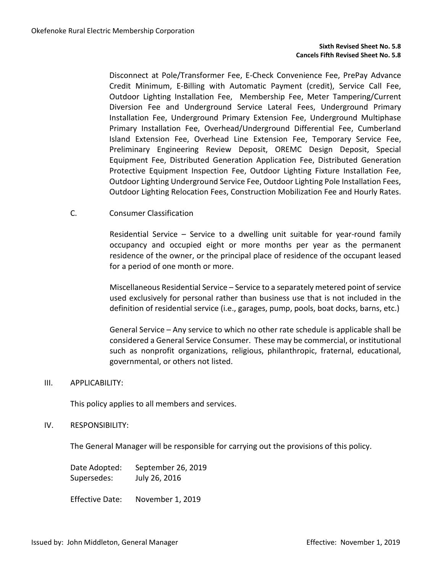Disconnect at Pole/Transformer Fee, E-Check Convenience Fee, PrePay Advance Credit Minimum, E-Billing with Automatic Payment (credit), Service Call Fee, Outdoor Lighting Installation Fee, Membership Fee, Meter Tampering/Current Diversion Fee and Underground Service Lateral Fees, Underground Primary Installation Fee, Underground Primary Extension Fee, Underground Multiphase Primary Installation Fee, Overhead/Underground Differential Fee, Cumberland Island Extension Fee, Overhead Line Extension Fee, Temporary Service Fee, Preliminary Engineering Review Deposit, OREMC Design Deposit, Special Equipment Fee, Distributed Generation Application Fee, Distributed Generation Protective Equipment Inspection Fee, Outdoor Lighting Fixture Installation Fee, Outdoor Lighting Underground Service Fee, Outdoor Lighting Pole Installation Fees, Outdoor Lighting Relocation Fees, Construction Mobilization Fee and Hourly Rates.

C. Consumer Classification

Residential Service – Service to a dwelling unit suitable for year-round family occupancy and occupied eight or more months per year as the permanent residence of the owner, or the principal place of residence of the occupant leased for a period of one month or more.

Miscellaneous Residential Service – Service to a separately metered point of service used exclusively for personal rather than business use that is not included in the definition of residential service (i.e., garages, pump, pools, boat docks, barns, etc.)

General Service – Any service to which no other rate schedule is applicable shall be considered a General Service Consumer. These may be commercial, or institutional such as nonprofit organizations, religious, philanthropic, fraternal, educational, governmental, or others not listed.

## III. APPLICABILITY:

This policy applies to all members and services.

## IV. RESPONSIBILITY:

The General Manager will be responsible for carrying out the provisions of this policy.

Date Adopted: September 26, 2019 Supersedes: July 26, 2016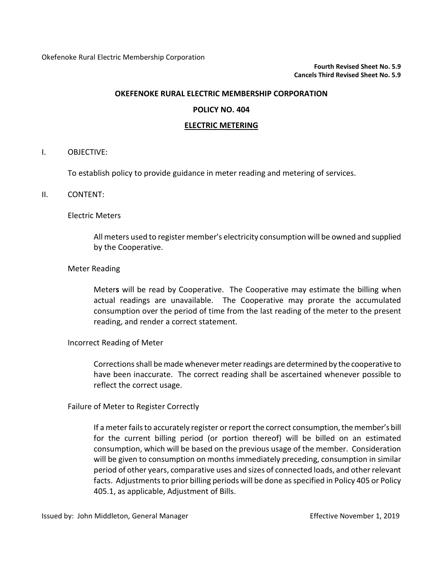## **POLICY NO. 404**

## **ELECTRIC METERING**

#### I. OBJECTIVE:

To establish policy to provide guidance in meter reading and metering of services.

### II. CONTENT:

### Electric Meters

All meters used to register member's electricity consumption will be owned and supplied by the Cooperative.

### Meter Reading

Meter**s** will be read by Cooperative. The Cooperative may estimate the billing when actual readings are unavailable. The Cooperative may prorate the accumulated consumption over the period of time from the last reading of the meter to the present reading, and render a correct statement.

## Incorrect Reading of Meter

Corrections shall be made whenevermeter readings are determined by the cooperative to have been inaccurate. The correct reading shall be ascertained whenever possible to reflect the correct usage.

## Failure of Meter to Register Correctly

If a meter fails to accurately register or report the correct consumption, the member's bill for the current billing period (or portion thereof) will be billed on an estimated consumption, which will be based on the previous usage of the member. Consideration will be given to consumption on months immediately preceding, consumption in similar period of other years, comparative uses and sizes of connected loads, and other relevant facts. Adjustments to prior billing periods will be done as specified in Policy 405 or Policy 405.1, as applicable, Adjustment of Bills.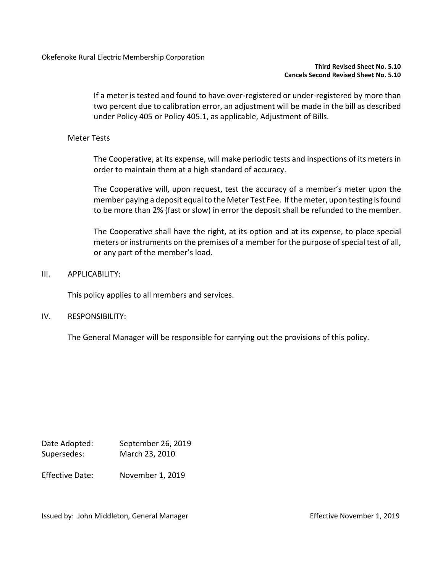If a meter is tested and found to have over-registered or under-registered by more than two percent due to calibration error, an adjustment will be made in the bill as described under Policy 405 or Policy 405.1, as applicable, Adjustment of Bills.

# Meter Tests

The Cooperative, at its expense, will make periodic tests and inspections of its meters in order to maintain them at a high standard of accuracy.

The Cooperative will, upon request, test the accuracy of a member's meter upon the member paying a deposit equal to the Meter Test Fee. If the meter, upon testing is found to be more than 2% (fast or slow) in error the deposit shall be refunded to the member.

The Cooperative shall have the right, at its option and at its expense, to place special meters or instruments on the premises of a member for the purpose of special test of all, or any part of the member's load.

III. APPLICABILITY:

This policy applies to all members and services.

IV. RESPONSIBILITY:

The General Manager will be responsible for carrying out the provisions of this policy.

Date Adopted: September 26, 2019 Supersedes: March 23, 2010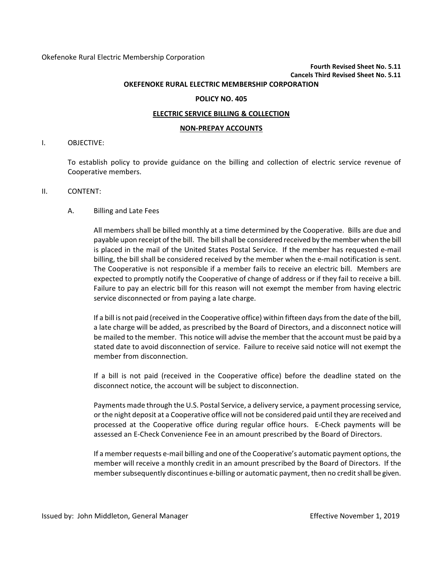# **Fourth Revised Sheet No. 5.11 Cancels Third Revised Sheet No. 5.11**

#### **OKEFENOKE RURAL ELECTRIC MEMBERSHIP CORPORATION**

#### **POLICY NO. 405**

#### **ELECTRIC SERVICE BILLING & COLLECTION**

#### **NON-PREPAY ACCOUNTS**

#### I. OBJECTIVE:

To establish policy to provide guidance on the billing and collection of electric service revenue of Cooperative members.

#### II. CONTENT:

#### A. Billing and Late Fees

All members shall be billed monthly at a time determined by the Cooperative. Bills are due and payable upon receipt of the bill. The bill shall be considered received by the member when the bill is placed in the mail of the United States Postal Service. If the member has requested e-mail billing, the bill shall be considered received by the member when the e-mail notification is sent. The Cooperative is not responsible if a member fails to receive an electric bill. Members are expected to promptly notify the Cooperative of change of address or if they fail to receive a bill. Failure to pay an electric bill for this reason will not exempt the member from having electric service disconnected or from paying a late charge.

If a bill is not paid (received in the Cooperative office) within fifteen days from the date of the bill, a late charge will be added, as prescribed by the Board of Directors, and a disconnect notice will be mailed to the member. This notice will advise the member that the account must be paid by a stated date to avoid disconnection of service. Failure to receive said notice will not exempt the member from disconnection.

If a bill is not paid (received in the Cooperative office) before the deadline stated on the disconnect notice, the account will be subject to disconnection.

Payments made through the U.S. Postal Service, a delivery service, a payment processing service, or the night deposit at a Cooperative office will not be considered paid until they are received and processed at the Cooperative office during regular office hours. E-Check payments will be assessed an E-Check Convenience Fee in an amount prescribed by the Board of Directors.

If a member requests e-mail billing and one of the Cooperative's automatic payment options, the member will receive a monthly credit in an amount prescribed by the Board of Directors. If the member subsequently discontinues e-billing or automatic payment, then no credit shall be given.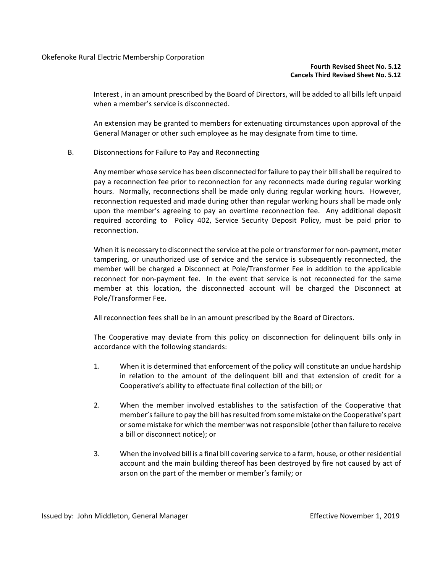#### **Fourth Revised Sheet No. 5.12 Cancels Third Revised Sheet No. 5.12**

Interest , in an amount prescribed by the Board of Directors, will be added to all bills left unpaid when a member's service is disconnected.

An extension may be granted to members for extenuating circumstances upon approval of the General Manager or other such employee as he may designate from time to time.

B. Disconnections for Failure to Pay and Reconnecting

Any member whose service has been disconnected for failure to pay their billshall be required to pay a reconnection fee prior to reconnection for any reconnects made during regular working hours. Normally, reconnections shall be made only during regular working hours. However, reconnection requested and made during other than regular working hours shall be made only upon the member's agreeing to pay an overtime reconnection fee. Any additional deposit required according to Policy 402, Service Security Deposit Policy, must be paid prior to reconnection.

When it is necessary to disconnect the service at the pole or transformer for non-payment, meter tampering, or unauthorized use of service and the service is subsequently reconnected, the member will be charged a Disconnect at Pole/Transformer Fee in addition to the applicable reconnect for non-payment fee. In the event that service is not reconnected for the same member at this location, the disconnected account will be charged the Disconnect at Pole/Transformer Fee.

All reconnection fees shall be in an amount prescribed by the Board of Directors.

The Cooperative may deviate from this policy on disconnection for delinquent bills only in accordance with the following standards:

- 1. When it is determined that enforcement of the policy will constitute an undue hardship in relation to the amount of the delinquent bill and that extension of credit for a Cooperative's ability to effectuate final collection of the bill; or
- 2. When the member involved establishes to the satisfaction of the Cooperative that member's failure to pay the bill has resulted from some mistake on the Cooperative's part or some mistake for which the member was not responsible (other than failure to receive a bill or disconnect notice); or
- 3. When the involved bill is a final bill covering service to a farm, house, or other residential account and the main building thereof has been destroyed by fire not caused by act of arson on the part of the member or member's family; or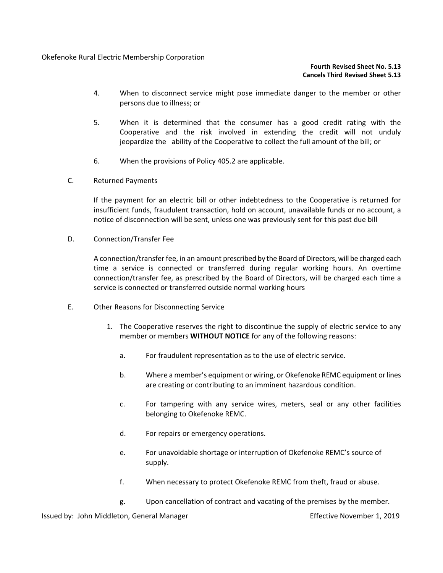## **Fourth Revised Sheet No. 5.13 Cancels Third Revised Sheet 5.13**

- 4. When to disconnect service might pose immediate danger to the member or other persons due to illness; or
- 5. When it is determined that the consumer has a good credit rating with the Cooperative and the risk involved in extending the credit will not unduly jeopardize the ability of the Cooperative to collect the full amount of the bill; or
- 6. When the provisions of Policy 405.2 are applicable.
- C. Returned Payments

If the payment for an electric bill or other indebtedness to the Cooperative is returned for insufficient funds, fraudulent transaction, hold on account, unavailable funds or no account, a notice of disconnection will be sent, unless one was previously sent for this past due bill

D. Connection/Transfer Fee

A connection/transfer fee, in an amount prescribed by the Board of Directors, will be charged each time a service is connected or transferred during regular working hours. An overtime connection/transfer fee, as prescribed by the Board of Directors, will be charged each time a service is connected or transferred outside normal working hours

- E. Other Reasons for Disconnecting Service
	- 1. The Cooperative reserves the right to discontinue the supply of electric service to any member or members **WITHOUT NOTICE** for any of the following reasons:
		- a. For fraudulent representation as to the use of electric service.
		- b. Where a member's equipment or wiring, or Okefenoke REMC equipment orlines are creating or contributing to an imminent hazardous condition.
		- c. For tampering with any service wires, meters, seal or any other facilities belonging to Okefenoke REMC.
		- d. For repairs or emergency operations.
		- e. For unavoidable shortage or interruption of Okefenoke REMC's source of supply.
		- f. When necessary to protect Okefenoke REMC from theft, fraud or abuse.
		- g. Upon cancellation of contract and vacating of the premises by the member.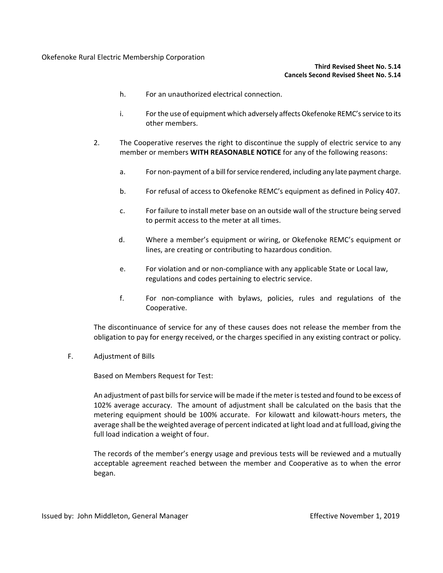### **Third Revised Sheet No. 5.14 Cancels Second Revised Sheet No. 5.14**

- h. For an unauthorized electrical connection.
- i. For the use of equipment which adversely affects Okefenoke REMC's service to its other members.
- 2. The Cooperative reserves the right to discontinue the supply of electric service to any member or members **WITH REASONABLE NOTICE** for any of the following reasons:
	- a. For non-payment of a bill for service rendered, including any late payment charge.
	- b. For refusal of access to Okefenoke REMC's equipment as defined in Policy 407.
	- c. For failure to install meter base on an outside wall of the structure being served to permit access to the meter at all times.
	- d. Where a member's equipment or wiring, or Okefenoke REMC's equipment or lines, are creating or contributing to hazardous condition.
	- e. For violation and or non-compliance with any applicable State or Local law, regulations and codes pertaining to electric service.
	- f. For non-compliance with bylaws, policies, rules and regulations of the Cooperative.

The discontinuance of service for any of these causes does not release the member from the obligation to pay for energy received, or the charges specified in any existing contract or policy.

F. Adjustment of Bills

Based on Members Request for Test:

An adjustment of past billsfor service will be made if the meter is tested and found to be excess of 102% average accuracy. The amount of adjustment shall be calculated on the basis that the metering equipment should be 100% accurate. For kilowatt and kilowatt-hours meters, the average shall be the weighted average of percent indicated at light load and at full load, giving the full load indication a weight of four.

The records of the member's energy usage and previous tests will be reviewed and a mutually acceptable agreement reached between the member and Cooperative as to when the error began.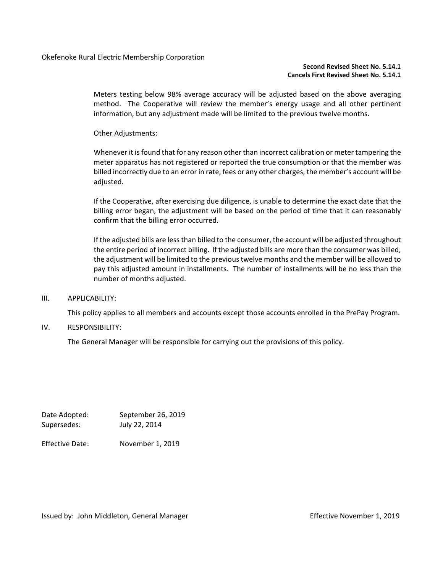#### **Second Revised Sheet No. 5.14.1 Cancels First Revised Sheet No. 5.14.1**

Meters testing below 98% average accuracy will be adjusted based on the above averaging method. The Cooperative will review the member's energy usage and all other pertinent information, but any adjustment made will be limited to the previous twelve months.

Other Adjustments:

Whenever it is found that for any reason other than incorrect calibration or meter tampering the meter apparatus has not registered or reported the true consumption or that the member was billed incorrectly due to an error in rate, fees or any other charges, the member's account will be adjusted.

If the Cooperative, after exercising due diligence, is unable to determine the exact date that the billing error began, the adjustment will be based on the period of time that it can reasonably confirm that the billing error occurred.

If the adjusted bills are less than billed to the consumer, the account will be adjusted throughout the entire period of incorrect billing. If the adjusted bills are more than the consumer was billed, the adjustment will be limited to the previous twelve months and the member will be allowed to pay this adjusted amount in installments. The number of installments will be no less than the number of months adjusted.

#### III. APPLICABILITY:

This policy applies to all members and accounts except those accounts enrolled in the PrePay Program.

#### IV. RESPONSIBILITY:

The General Manager will be responsible for carrying out the provisions of this policy.

Date Adopted: September 26, 2019 Supersedes: July 22, 2014

Effective Date: November 1, 2019

Issued by: John Middleton, General Manager **Effective November 1, 2019**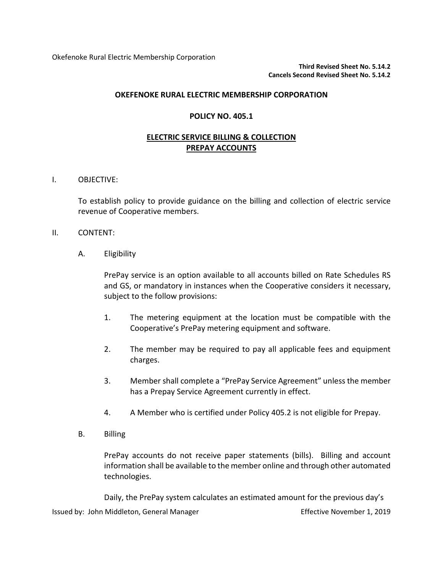Okefenoke Rural Electric Membership Corporation

**Third Revised Sheet No. 5.14.2 Cancels Second Revised Sheet No. 5.14.2**

## **OKEFENOKE RURAL ELECTRIC MEMBERSHIP CORPORATION**

## **POLICY NO. 405.1**

# **ELECTRIC SERVICE BILLING & COLLECTION PREPAY ACCOUNTS**

I. OBJECTIVE:

To establish policy to provide guidance on the billing and collection of electric service revenue of Cooperative members.

## II. CONTENT:

A. Eligibility

PrePay service is an option available to all accounts billed on Rate Schedules RS and GS, or mandatory in instances when the Cooperative considers it necessary, subject to the follow provisions:

- 1. The metering equipment at the location must be compatible with the Cooperative's PrePay metering equipment and software.
- 2. The member may be required to pay all applicable fees and equipment charges.
- 3. Member shall complete a "PrePay Service Agreement" unless the member has a Prepay Service Agreement currently in effect.
- 4. A Member who is certified under Policy 405.2 is not eligible for Prepay.
- B. Billing

PrePay accounts do not receive paper statements (bills). Billing and account information shall be available to the member online and through other automated technologies.

Issued by: John Middleton, General Manager **Effective November 1, 2019** Daily, the PrePay system calculates an estimated amount for the previous day's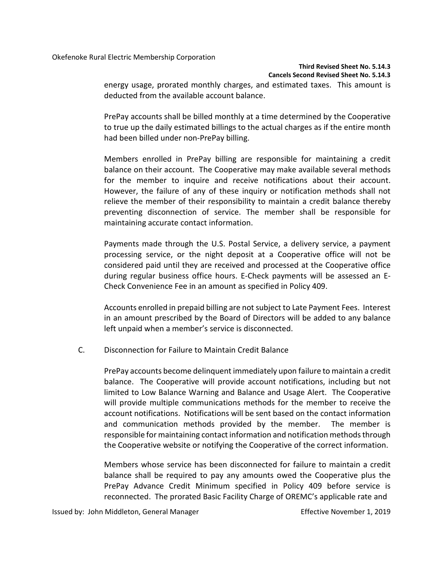Okefenoke Rural Electric Membership Corporation

## **Third Revised Sheet No. 5.14.3 Cancels Second Revised Sheet No. 5.14.3**

energy usage, prorated monthly charges, and estimated taxes. This amount is deducted from the available account balance.

PrePay accounts shall be billed monthly at a time determined by the Cooperative to true up the daily estimated billings to the actual charges as if the entire month had been billed under non-PrePay billing.

Members enrolled in PrePay billing are responsible for maintaining a credit balance on their account. The Cooperative may make available several methods for the member to inquire and receive notifications about their account. However, the failure of any of these inquiry or notification methods shall not relieve the member of their responsibility to maintain a credit balance thereby preventing disconnection of service. The member shall be responsible for maintaining accurate contact information.

Payments made through the U.S. Postal Service, a delivery service, a payment processing service, or the night deposit at a Cooperative office will not be considered paid until they are received and processed at the Cooperative office during regular business office hours. E-Check payments will be assessed an E-Check Convenience Fee in an amount as specified in Policy 409.

Accounts enrolled in prepaid billing are not subject to Late Payment Fees. Interest in an amount prescribed by the Board of Directors will be added to any balance left unpaid when a member's service is disconnected.

C. Disconnection for Failure to Maintain Credit Balance

PrePay accounts become delinquent immediately upon failure to maintain a credit balance. The Cooperative will provide account notifications, including but not limited to Low Balance Warning and Balance and Usage Alert. The Cooperative will provide multiple communications methods for the member to receive the account notifications. Notifications will be sent based on the contact information and communication methods provided by the member. The member is responsible for maintaining contact information and notification methods through the Cooperative website or notifying the Cooperative of the correct information.

Members whose service has been disconnected for failure to maintain a credit balance shall be required to pay any amounts owed the Cooperative plus the PrePay Advance Credit Minimum specified in Policy 409 before service is reconnected. The prorated Basic Facility Charge of OREMC's applicable rate and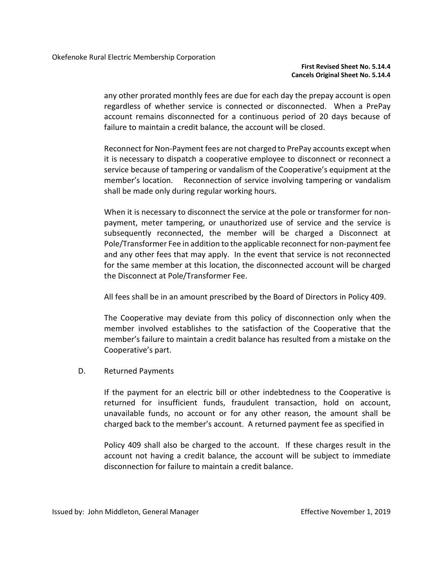any other prorated monthly fees are due for each day the prepay account is open regardless of whether service is connected or disconnected. When a PrePay account remains disconnected for a continuous period of 20 days because of failure to maintain a credit balance, the account will be closed.

Reconnect for Non-Payment fees are not charged to PrePay accounts except when it is necessary to dispatch a cooperative employee to disconnect or reconnect a service because of tampering or vandalism of the Cooperative's equipment at the member's location. Reconnection of service involving tampering or vandalism shall be made only during regular working hours.

When it is necessary to disconnect the service at the pole or transformer for nonpayment, meter tampering, or unauthorized use of service and the service is subsequently reconnected, the member will be charged a Disconnect at Pole/Transformer Fee in addition to the applicable reconnect for non-payment fee and any other fees that may apply. In the event that service is not reconnected for the same member at this location, the disconnected account will be charged the Disconnect at Pole/Transformer Fee.

All fees shall be in an amount prescribed by the Board of Directors in Policy 409.

The Cooperative may deviate from this policy of disconnection only when the member involved establishes to the satisfaction of the Cooperative that the member's failure to maintain a credit balance has resulted from a mistake on the Cooperative's part.

D. Returned Payments

If the payment for an electric bill or other indebtedness to the Cooperative is returned for insufficient funds, fraudulent transaction, hold on account, unavailable funds, no account or for any other reason, the amount shall be charged back to the member's account. A returned payment fee as specified in

Policy 409 shall also be charged to the account. If these charges result in the account not having a credit balance, the account will be subject to immediate disconnection for failure to maintain a credit balance.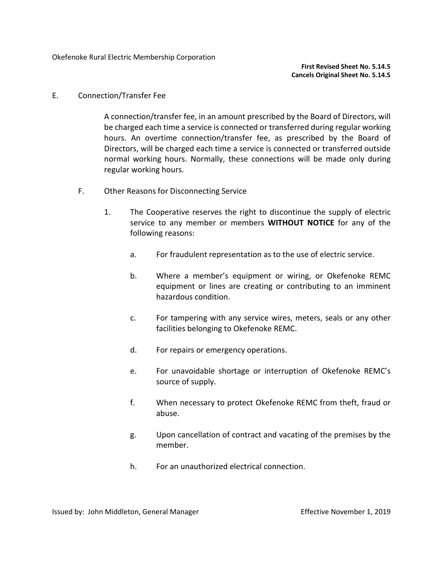# E. Connection/Transfer Fee

A connection/transfer fee, in an amount prescribed by the Board of Directors, will be charged each time a service is connected or transferred during regular working hours. An overtime connection/transfer fee, as prescribed by the Board of Directors, will be charged each time a service is connected or transferred outside normal working hours. Normally, these connections will be made only during regular working hours.

- F. Other Reasons for Disconnecting Service
	- 1. The Cooperative reserves the right to discontinue the supply of electric service to any member or members **WITHOUT NOTICE** for any of the following reasons:
		- a. For fraudulent representation as to the use of electric service.
		- b. Where a member's equipment or wiring, or Okefenoke REMC equipment or lines are creating or contributing to an imminent hazardous condition.
		- c. For tampering with any service wires, meters, seals or any other facilities belonging to Okefenoke REMC.
		- d. For repairs or emergency operations.
		- e. For unavoidable shortage or interruption of Okefenoke REMC's source of supply.
		- f. When necessary to protect Okefenoke REMC from theft, fraud or abuse.
		- g. Upon cancellation of contract and vacating of the premises by the member.
		- h. For an unauthorized electrical connection.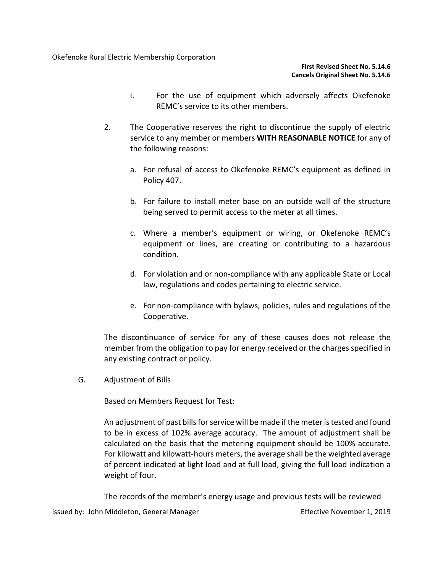- i. For the use of equipment which adversely affects Okefenoke REMC's service to its other members.
- 2. The Cooperative reserves the right to discontinue the supply of electric service to any member or members **WITH REASONABLE NOTICE** for any of the following reasons:
	- a. For refusal of access to Okefenoke REMC's equipment as defined in Policy 407.
	- b. For failure to install meter base on an outside wall of the structure being served to permit access to the meter at all times.
	- c. Where a member's equipment or wiring, or Okefenoke REMC's equipment or lines, are creating or contributing to a hazardous condition.
	- d. For violation and or non-compliance with any applicable State or Local law, regulations and codes pertaining to electric service.
	- e. For non-compliance with bylaws, policies, rules and regulations of the Cooperative.

The discontinuance of service for any of these causes does not release the member from the obligation to pay for energy received or the charges specified in any existing contract or policy.

G. Adjustment of Bills

Based on Members Request for Test:

An adjustment of past bills for service will be made if the meter is tested and found to be in excess of 102% average accuracy. The amount of adjustment shall be calculated on the basis that the metering equipment should be 100% accurate. For kilowatt and kilowatt-hours meters, the average shall be the weighted average of percent indicated at light load and at full load, giving the full load indication a weight of four.

The records of the member's energy usage and previous tests will be reviewed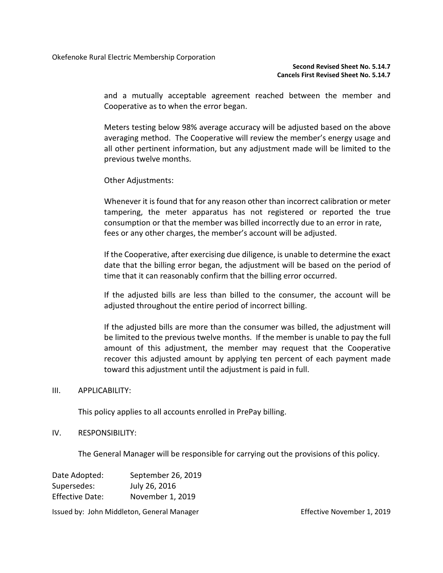and a mutually acceptable agreement reached between the member and Cooperative as to when the error began.

Meters testing below 98% average accuracy will be adjusted based on the above averaging method. The Cooperative will review the member's energy usage and all other pertinent information, but any adjustment made will be limited to the previous twelve months.

Other Adjustments:

Whenever it is found that for any reason other than incorrect calibration or meter tampering, the meter apparatus has not registered or reported the true consumption or that the member was billed incorrectly due to an error in rate, fees or any other charges, the member's account will be adjusted.

If the Cooperative, after exercising due diligence, is unable to determine the exact date that the billing error began, the adjustment will be based on the period of time that it can reasonably confirm that the billing error occurred.

If the adjusted bills are less than billed to the consumer, the account will be adjusted throughout the entire period of incorrect billing.

If the adjusted bills are more than the consumer was billed, the adjustment will be limited to the previous twelve months. If the member is unable to pay the full amount of this adjustment, the member may request that the Cooperative recover this adjusted amount by applying ten percent of each payment made toward this adjustment until the adjustment is paid in full.

## III. APPLICABILITY:

This policy applies to all accounts enrolled in PrePay billing.

## IV. RESPONSIBILITY:

The General Manager will be responsible for carrying out the provisions of this policy.

| Date Adopted:          | September 26, 2019 |  |  |
|------------------------|--------------------|--|--|
| Supersedes:            | July 26, 2016      |  |  |
| <b>Effective Date:</b> | November 1, 2019   |  |  |
|                        |                    |  |  |

Issued by: John Middleton, General Manager **Effective November 1, 2019**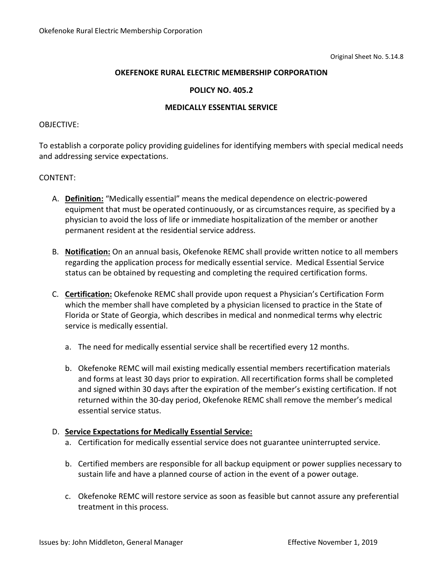## **POLICY NO. 405.2**

## **MEDICALLY ESSENTIAL SERVICE**

## OBJECTIVE:

To establish a corporate policy providing guidelines for identifying members with special medical needs and addressing service expectations.

## CONTENT:

- A. **Definition:** "Medically essential" means the medical dependence on electric-powered equipment that must be operated continuously, or as circumstances require, as specified by a physician to avoid the loss of life or immediate hospitalization of the member or another permanent resident at the residential service address.
- B. **Notification:** On an annual basis, Okefenoke REMC shall provide written notice to all members regarding the application process for medically essential service. Medical Essential Service status can be obtained by requesting and completing the required certification forms.
- C. **Certification:** Okefenoke REMC shall provide upon request a Physician's Certification Form which the member shall have completed by a physician licensed to practice in the State of Florida or State of Georgia, which describes in medical and nonmedical terms why electric service is medically essential.
	- a. The need for medically essential service shall be recertified every 12 months.
	- b. Okefenoke REMC will mail existing medically essential members recertification materials and forms at least 30 days prior to expiration. All recertification forms shall be completed and signed within 30 days after the expiration of the member's existing certification. If not returned within the 30-day period, Okefenoke REMC shall remove the member's medical essential service status.

# D. **Service Expectations for Medically Essential Service:**

- a. Certification for medically essential service does not guarantee uninterrupted service.
- b. Certified members are responsible for all backup equipment or power supplies necessary to sustain life and have a planned course of action in the event of a power outage.
- c. Okefenoke REMC will restore service as soon as feasible but cannot assure any preferential treatment in this process.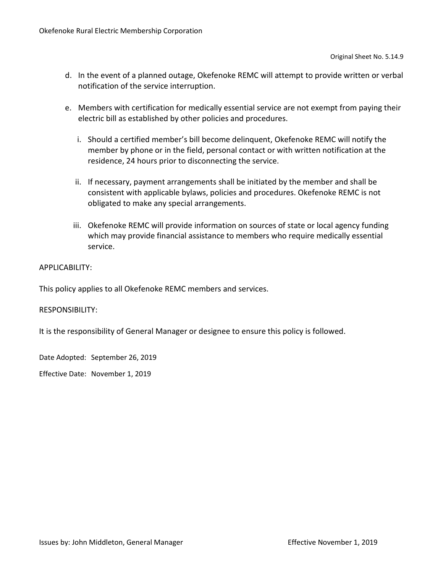- d. In the event of a planned outage, Okefenoke REMC will attempt to provide written or verbal notification of the service interruption.
- e. Members with certification for medically essential service are not exempt from paying their electric bill as established by other policies and procedures.
	- i. Should a certified member's bill become delinquent, Okefenoke REMC will notify the member by phone or in the field, personal contact or with written notification at the residence, 24 hours prior to disconnecting the service.
	- ii. If necessary, payment arrangements shall be initiated by the member and shall be consistent with applicable bylaws, policies and procedures. Okefenoke REMC is not obligated to make any special arrangements.
	- iii. Okefenoke REMC will provide information on sources of state or local agency funding which may provide financial assistance to members who require medically essential service.

# APPLICABILITY:

This policy applies to all Okefenoke REMC members and services.

## RESPONSIBILITY:

It is the responsibility of General Manager or designee to ensure this policy is followed.

Date Adopted: September 26, 2019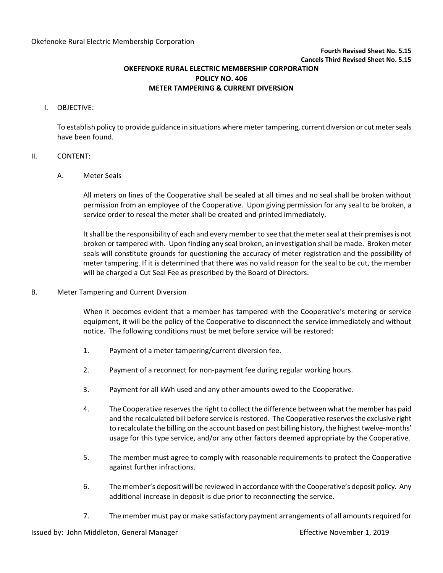**Fourth Revised Sheet No. 5.15**

**Cancels Third Revised Sheet No. 5.15**

**OKEFENOKE RURAL ELECTRIC MEMBERSHIP CORPORATION**

**POLICY NO. 406**

## **METER TAMPERING & CURRENT DIVERSION**

#### I. OBJECTIVE:

To establish policy to provide guidance in situations where meter tampering, current diversion or cut meter seals have been found.

## II. CONTENT:

### A. Meter Seals

All meters on lines of the Cooperative shall be sealed at all times and no seal shall be broken without permission from an employee of the Cooperative. Upon giving permission for any seal to be broken, a service order to reseal the meter shall be created and printed immediately.

It shall be the responsibility of each and every member to see that the meter seal at their premises is not broken or tampered with. Upon finding any seal broken, an investigation shall be made. Broken meter seals will constitute grounds for questioning the accuracy of meter registration and the possibility of meter tampering. If it is determined that there was no valid reason for the seal to be cut, the member will be charged a Cut Seal Fee as prescribed by the Board of Directors.

## B. Meter Tampering and Current Diversion

When it becomes evident that a member has tampered with the Cooperative's metering or service equipment, it will be the policy of the Cooperative to disconnect the service immediately and without notice. The following conditions must be met before service will be restored:

- 1. Payment of a meter tampering/current diversion fee.
- 2. Payment of a reconnect for non-payment fee during regular working hours.
- 3. Payment for all kWh used and any other amounts owed to the Cooperative.
- 4. The Cooperative reserves the right to collect the difference between what the member has paid and the recalculated bill before service is restored. The Cooperative reserves the exclusive right to recalculate the billing on the account based on past billing history, the highest twelve-months' usage for this type service, and/or any other factors deemed appropriate by the Cooperative.
- 5. The member must agree to comply with reasonable requirements to protect the Cooperative against further infractions.
- 6. The member's deposit will be reviewed in accordance with the Cooperative's deposit policy. Any additional increase in deposit is due prior to reconnecting the service.
- 7. The member must pay or make satisfactory payment arrangements of all amounts required for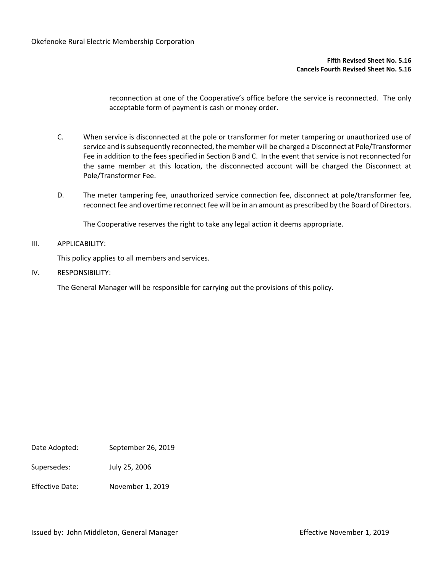#### **Fifth Revised Sheet No. 5.16 Cancels Fourth Revised Sheet No. 5.16**

reconnection at one of the Cooperative's office before the service is reconnected. The only acceptable form of payment is cash or money order.

- C. When service is disconnected at the pole or transformer for meter tampering or unauthorized use of service and is subsequently reconnected, the member will be charged a Disconnect at Pole/Transformer Fee in addition to the fees specified in Section B and C. In the event that service is not reconnected for the same member at this location, the disconnected account will be charged the Disconnect at Pole/Transformer Fee.
- D. The meter tampering fee, unauthorized service connection fee, disconnect at pole/transformer fee, reconnect fee and overtime reconnect fee will be in an amount as prescribed by the Board of Directors.

The Cooperative reserves the right to take any legal action it deems appropriate.

### III. APPLICABILITY:

This policy applies to all members and services.

IV. RESPONSIBILITY:

The General Manager will be responsible for carrying out the provisions of this policy.

Date Adopted: September 26, 2019

Supersedes: July 25, 2006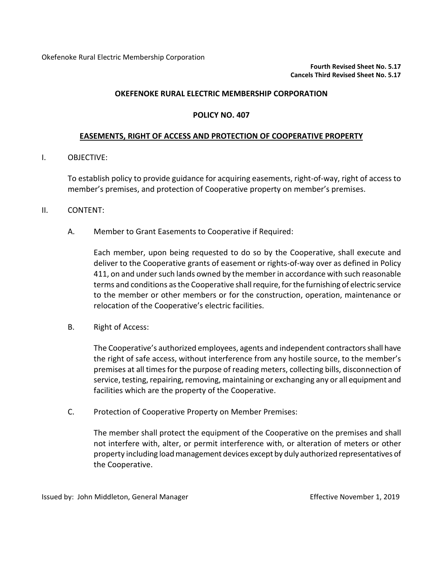## **POLICY NO. 407**

## **EASEMENTS, RIGHT OF ACCESS AND PROTECTION OF COOPERATIVE PROPERTY**

## I. OBJECTIVE:

To establish policy to provide guidance for acquiring easements, right-of-way, right of access to member's premises, and protection of Cooperative property on member's premises.

## II. CONTENT:

A. Member to Grant Easements to Cooperative if Required:

Each member, upon being requested to do so by the Cooperative, shall execute and deliver to the Cooperative grants of easement or rights-of-way over as defined in Policy 411, on and under such lands owned by the member in accordance with such reasonable terms and conditions as the Cooperative shall require, forthe furnishing of electric service to the member or other members or for the construction, operation, maintenance or relocation of the Cooperative's electric facilities.

B. Right of Access:

The Cooperative's authorized employees, agents and independent contractorsshall have the right of safe access, without interference from any hostile source, to the member's premises at all times for the purpose of reading meters, collecting bills, disconnection of service, testing, repairing, removing, maintaining or exchanging any or all equipment and facilities which are the property of the Cooperative.

C. Protection of Cooperative Property on Member Premises:

The member shall protect the equipment of the Cooperative on the premises and shall not interfere with, alter, or permit interference with, or alteration of meters or other property including load management devices except by duly authorized representatives of the Cooperative.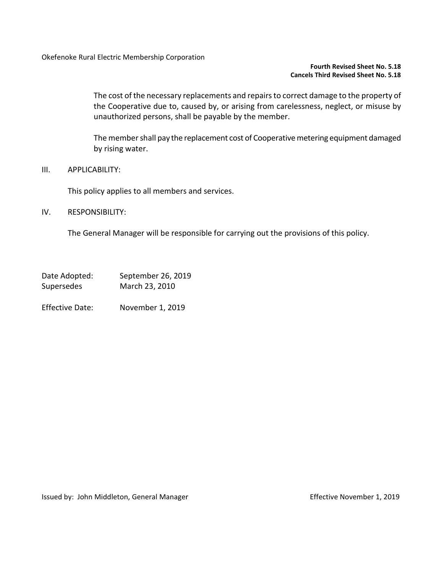## **Fourth Revised Sheet No. 5.18 Cancels Third Revised Sheet No. 5.18**

The cost of the necessary replacements and repairs to correct damage to the property of the Cooperative due to, caused by, or arising from carelessness, neglect, or misuse by unauthorized persons, shall be payable by the member.

The member shall pay the replacement cost of Cooperative metering equipment damaged by rising water.

## III. APPLICABILITY:

This policy applies to all members and services.

## IV. RESPONSIBILITY:

The General Manager will be responsible for carrying out the provisions of this policy.

| Date Adopted:     | September 26, 2019 |
|-------------------|--------------------|
| <b>Supersedes</b> | March 23, 2010     |
|                   |                    |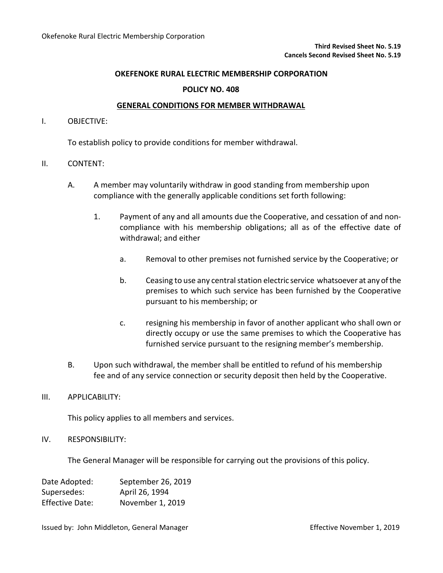## **POLICY NO. 408**

## **GENERAL CONDITIONS FOR MEMBER WITHDRAWAL**

### I. OBJECTIVE:

To establish policy to provide conditions for member withdrawal.

## II. CONTENT:

- A. A member may voluntarily withdraw in good standing from membership upon compliance with the generally applicable conditions set forth following:
	- 1. Payment of any and all amounts due the Cooperative, and cessation of and noncompliance with his membership obligations; all as of the effective date of withdrawal; and either
		- a. Removal to other premises not furnished service by the Cooperative; or
		- b. Ceasing to use any central station electric service whatsoever at any of the premises to which such service has been furnished by the Cooperative pursuant to his membership; or
		- c. resigning his membership in favor of another applicant who shall own or directly occupy or use the same premises to which the Cooperative has furnished service pursuant to the resigning member's membership.
- B. Upon such withdrawal, the member shall be entitled to refund of his membership fee and of any service connection or security deposit then held by the Cooperative.

### III. APPLICABILITY:

This policy applies to all members and services.

## IV. RESPONSIBILITY:

The General Manager will be responsible for carrying out the provisions of this policy.

| Date Adopted:          | September 26, 2019 |
|------------------------|--------------------|
| Supersedes:            | April 26, 1994     |
| <b>Effective Date:</b> | November 1, 2019   |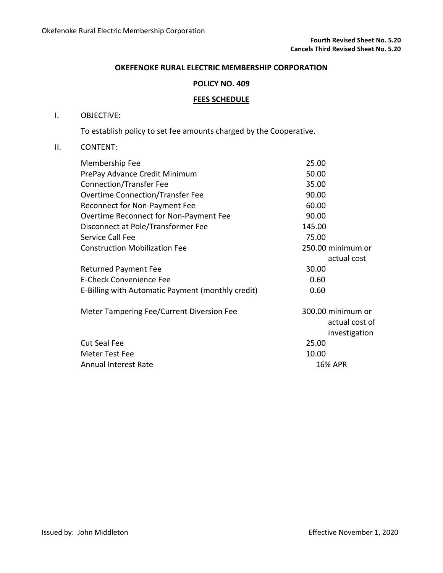## **POLICY NO. 409**

## **FEES SCHEDULE**

## I. OBJECTIVE:

To establish policy to set fee amounts charged by the Cooperative.

## II. CONTENT:

| 25.00             |
|-------------------|
| 50.00             |
| 35.00             |
| 90.00             |
| 60.00             |
| 90.00             |
| 145.00            |
| 75.00             |
| 250.00 minimum or |
| actual cost       |
| 30.00             |
| 0.60              |
| 0.60              |
| 300.00 minimum or |
| actual cost of    |
| investigation     |
| 25.00             |
| 10.00             |
| <b>16% APR</b>    |
|                   |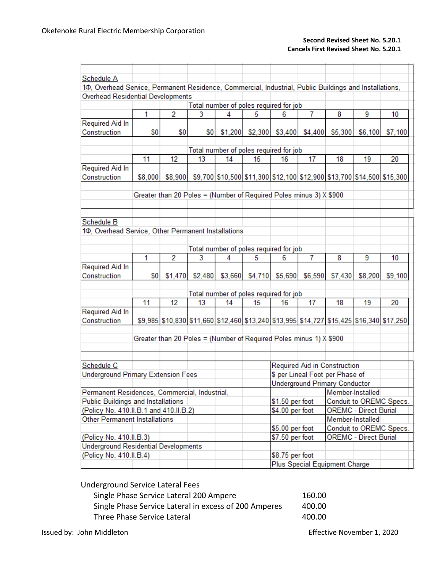### **Second Revised Sheet No. 5.20.1 Cancels First Revised Sheet No. 5.20.1**

| Schedule A<br>10, Overhead Service, Permanent Residence, Commercial, Industrial, Public Buildings and Installations,<br>Overhead Residential Developments<br>Total number of poles required for job<br>$\overline{2}$<br>3<br>5<br>$\overline{7}$<br>8<br>1<br>6<br>9<br>4<br>10<br>Required Aid In<br>\$0<br>\$0<br>\$4,400<br>Construction<br>\$0<br>\$1,200<br>\$2,300<br>\$3,400<br>\$5,300<br>\$6,100<br>\$7,100<br>Total number of poles required for job<br>17<br>11<br>12<br>18<br>19<br>13<br>14<br>15<br>16<br>20<br>Required Aid In<br>\$8,900 \$9,700 \$10,500 \$11,300 \$12,100 \$12,900 \$13,700 \$14,500 \$15,300<br>Construction<br>\$8,000<br>Greater than 20 Poles = (Number of Required Poles minus 3) X \$900<br>Schedule B<br>10, Overhead Service, Other Permanent Installations<br>Total number of poles required for job<br>$\overline{7}$<br>1<br>$\overline{2}$<br>3<br>8<br>9<br>4<br>5<br>6<br>10<br>Required Aid In<br>Construction<br>\$5,690<br>\$8,200<br>\$0<br>\$1,470<br>\$2,480<br>\$3,660<br>\$4,710<br>\$6,590<br>\$7,430<br>\$9,100<br>Total number of poles required for job<br>11<br>12<br>17<br>18<br>19<br>13<br>14<br>15<br>16<br>20<br>Required Aid In<br>\$9,985 \$10,830 \$11,660 \$12,460 \$13,240 \$13,995 \$14,727 \$15,425 \$16,340 \$17,250<br>Construction<br>Greater than 20 Poles = (Number of Required Poles minus 1) X \$900<br>Required Aid in Construction<br>Underground Primary Extension Fees<br>\$ per Lineal Foot per Phase of<br><b>Underground Primary Conductor</b><br>Member-Installed<br>Permanent Residences, Commercial, Industrial,<br><b>Public Buildings and Installations</b><br>\$1.50 per foot<br>Conduit to OREMC Specs.<br>(Policy No. 410.II.B.1 and 410.II.B.2)<br>\$4.00 per foot<br><b>OREMC - Direct Burial</b><br><b>Other Permanent Installations</b><br>Member-Installed<br>\$5.00 per foot<br>Conduit to OREMC Specs.<br>(Policy No. 410.II.B.3)<br>\$7.50 per foot<br><b>OREMC - Direct Burial</b><br><b>Underground Residential Developments</b><br>(Policy No. 410.II.B.4)<br>\$8.75 per foot<br>Plus Special Equipment Charge |            |  |  |  |  |  |  |  |
|---------------------------------------------------------------------------------------------------------------------------------------------------------------------------------------------------------------------------------------------------------------------------------------------------------------------------------------------------------------------------------------------------------------------------------------------------------------------------------------------------------------------------------------------------------------------------------------------------------------------------------------------------------------------------------------------------------------------------------------------------------------------------------------------------------------------------------------------------------------------------------------------------------------------------------------------------------------------------------------------------------------------------------------------------------------------------------------------------------------------------------------------------------------------------------------------------------------------------------------------------------------------------------------------------------------------------------------------------------------------------------------------------------------------------------------------------------------------------------------------------------------------------------------------------------------------------------------------------------------------------------------------------------------------------------------------------------------------------------------------------------------------------------------------------------------------------------------------------------------------------------------------------------------------------------------------------------------------------------------------------------------------------------------------------------------------------------------------------------------------------|------------|--|--|--|--|--|--|--|
|                                                                                                                                                                                                                                                                                                                                                                                                                                                                                                                                                                                                                                                                                                                                                                                                                                                                                                                                                                                                                                                                                                                                                                                                                                                                                                                                                                                                                                                                                                                                                                                                                                                                                                                                                                                                                                                                                                                                                                                                                                                                                                                           |            |  |  |  |  |  |  |  |
|                                                                                                                                                                                                                                                                                                                                                                                                                                                                                                                                                                                                                                                                                                                                                                                                                                                                                                                                                                                                                                                                                                                                                                                                                                                                                                                                                                                                                                                                                                                                                                                                                                                                                                                                                                                                                                                                                                                                                                                                                                                                                                                           |            |  |  |  |  |  |  |  |
|                                                                                                                                                                                                                                                                                                                                                                                                                                                                                                                                                                                                                                                                                                                                                                                                                                                                                                                                                                                                                                                                                                                                                                                                                                                                                                                                                                                                                                                                                                                                                                                                                                                                                                                                                                                                                                                                                                                                                                                                                                                                                                                           |            |  |  |  |  |  |  |  |
|                                                                                                                                                                                                                                                                                                                                                                                                                                                                                                                                                                                                                                                                                                                                                                                                                                                                                                                                                                                                                                                                                                                                                                                                                                                                                                                                                                                                                                                                                                                                                                                                                                                                                                                                                                                                                                                                                                                                                                                                                                                                                                                           |            |  |  |  |  |  |  |  |
|                                                                                                                                                                                                                                                                                                                                                                                                                                                                                                                                                                                                                                                                                                                                                                                                                                                                                                                                                                                                                                                                                                                                                                                                                                                                                                                                                                                                                                                                                                                                                                                                                                                                                                                                                                                                                                                                                                                                                                                                                                                                                                                           |            |  |  |  |  |  |  |  |
|                                                                                                                                                                                                                                                                                                                                                                                                                                                                                                                                                                                                                                                                                                                                                                                                                                                                                                                                                                                                                                                                                                                                                                                                                                                                                                                                                                                                                                                                                                                                                                                                                                                                                                                                                                                                                                                                                                                                                                                                                                                                                                                           |            |  |  |  |  |  |  |  |
|                                                                                                                                                                                                                                                                                                                                                                                                                                                                                                                                                                                                                                                                                                                                                                                                                                                                                                                                                                                                                                                                                                                                                                                                                                                                                                                                                                                                                                                                                                                                                                                                                                                                                                                                                                                                                                                                                                                                                                                                                                                                                                                           |            |  |  |  |  |  |  |  |
|                                                                                                                                                                                                                                                                                                                                                                                                                                                                                                                                                                                                                                                                                                                                                                                                                                                                                                                                                                                                                                                                                                                                                                                                                                                                                                                                                                                                                                                                                                                                                                                                                                                                                                                                                                                                                                                                                                                                                                                                                                                                                                                           |            |  |  |  |  |  |  |  |
|                                                                                                                                                                                                                                                                                                                                                                                                                                                                                                                                                                                                                                                                                                                                                                                                                                                                                                                                                                                                                                                                                                                                                                                                                                                                                                                                                                                                                                                                                                                                                                                                                                                                                                                                                                                                                                                                                                                                                                                                                                                                                                                           |            |  |  |  |  |  |  |  |
|                                                                                                                                                                                                                                                                                                                                                                                                                                                                                                                                                                                                                                                                                                                                                                                                                                                                                                                                                                                                                                                                                                                                                                                                                                                                                                                                                                                                                                                                                                                                                                                                                                                                                                                                                                                                                                                                                                                                                                                                                                                                                                                           |            |  |  |  |  |  |  |  |
|                                                                                                                                                                                                                                                                                                                                                                                                                                                                                                                                                                                                                                                                                                                                                                                                                                                                                                                                                                                                                                                                                                                                                                                                                                                                                                                                                                                                                                                                                                                                                                                                                                                                                                                                                                                                                                                                                                                                                                                                                                                                                                                           |            |  |  |  |  |  |  |  |
|                                                                                                                                                                                                                                                                                                                                                                                                                                                                                                                                                                                                                                                                                                                                                                                                                                                                                                                                                                                                                                                                                                                                                                                                                                                                                                                                                                                                                                                                                                                                                                                                                                                                                                                                                                                                                                                                                                                                                                                                                                                                                                                           |            |  |  |  |  |  |  |  |
|                                                                                                                                                                                                                                                                                                                                                                                                                                                                                                                                                                                                                                                                                                                                                                                                                                                                                                                                                                                                                                                                                                                                                                                                                                                                                                                                                                                                                                                                                                                                                                                                                                                                                                                                                                                                                                                                                                                                                                                                                                                                                                                           |            |  |  |  |  |  |  |  |
|                                                                                                                                                                                                                                                                                                                                                                                                                                                                                                                                                                                                                                                                                                                                                                                                                                                                                                                                                                                                                                                                                                                                                                                                                                                                                                                                                                                                                                                                                                                                                                                                                                                                                                                                                                                                                                                                                                                                                                                                                                                                                                                           |            |  |  |  |  |  |  |  |
|                                                                                                                                                                                                                                                                                                                                                                                                                                                                                                                                                                                                                                                                                                                                                                                                                                                                                                                                                                                                                                                                                                                                                                                                                                                                                                                                                                                                                                                                                                                                                                                                                                                                                                                                                                                                                                                                                                                                                                                                                                                                                                                           |            |  |  |  |  |  |  |  |
|                                                                                                                                                                                                                                                                                                                                                                                                                                                                                                                                                                                                                                                                                                                                                                                                                                                                                                                                                                                                                                                                                                                                                                                                                                                                                                                                                                                                                                                                                                                                                                                                                                                                                                                                                                                                                                                                                                                                                                                                                                                                                                                           |            |  |  |  |  |  |  |  |
|                                                                                                                                                                                                                                                                                                                                                                                                                                                                                                                                                                                                                                                                                                                                                                                                                                                                                                                                                                                                                                                                                                                                                                                                                                                                                                                                                                                                                                                                                                                                                                                                                                                                                                                                                                                                                                                                                                                                                                                                                                                                                                                           |            |  |  |  |  |  |  |  |
|                                                                                                                                                                                                                                                                                                                                                                                                                                                                                                                                                                                                                                                                                                                                                                                                                                                                                                                                                                                                                                                                                                                                                                                                                                                                                                                                                                                                                                                                                                                                                                                                                                                                                                                                                                                                                                                                                                                                                                                                                                                                                                                           |            |  |  |  |  |  |  |  |
|                                                                                                                                                                                                                                                                                                                                                                                                                                                                                                                                                                                                                                                                                                                                                                                                                                                                                                                                                                                                                                                                                                                                                                                                                                                                                                                                                                                                                                                                                                                                                                                                                                                                                                                                                                                                                                                                                                                                                                                                                                                                                                                           |            |  |  |  |  |  |  |  |
|                                                                                                                                                                                                                                                                                                                                                                                                                                                                                                                                                                                                                                                                                                                                                                                                                                                                                                                                                                                                                                                                                                                                                                                                                                                                                                                                                                                                                                                                                                                                                                                                                                                                                                                                                                                                                                                                                                                                                                                                                                                                                                                           |            |  |  |  |  |  |  |  |
|                                                                                                                                                                                                                                                                                                                                                                                                                                                                                                                                                                                                                                                                                                                                                                                                                                                                                                                                                                                                                                                                                                                                                                                                                                                                                                                                                                                                                                                                                                                                                                                                                                                                                                                                                                                                                                                                                                                                                                                                                                                                                                                           |            |  |  |  |  |  |  |  |
|                                                                                                                                                                                                                                                                                                                                                                                                                                                                                                                                                                                                                                                                                                                                                                                                                                                                                                                                                                                                                                                                                                                                                                                                                                                                                                                                                                                                                                                                                                                                                                                                                                                                                                                                                                                                                                                                                                                                                                                                                                                                                                                           |            |  |  |  |  |  |  |  |
|                                                                                                                                                                                                                                                                                                                                                                                                                                                                                                                                                                                                                                                                                                                                                                                                                                                                                                                                                                                                                                                                                                                                                                                                                                                                                                                                                                                                                                                                                                                                                                                                                                                                                                                                                                                                                                                                                                                                                                                                                                                                                                                           |            |  |  |  |  |  |  |  |
|                                                                                                                                                                                                                                                                                                                                                                                                                                                                                                                                                                                                                                                                                                                                                                                                                                                                                                                                                                                                                                                                                                                                                                                                                                                                                                                                                                                                                                                                                                                                                                                                                                                                                                                                                                                                                                                                                                                                                                                                                                                                                                                           |            |  |  |  |  |  |  |  |
|                                                                                                                                                                                                                                                                                                                                                                                                                                                                                                                                                                                                                                                                                                                                                                                                                                                                                                                                                                                                                                                                                                                                                                                                                                                                                                                                                                                                                                                                                                                                                                                                                                                                                                                                                                                                                                                                                                                                                                                                                                                                                                                           |            |  |  |  |  |  |  |  |
|                                                                                                                                                                                                                                                                                                                                                                                                                                                                                                                                                                                                                                                                                                                                                                                                                                                                                                                                                                                                                                                                                                                                                                                                                                                                                                                                                                                                                                                                                                                                                                                                                                                                                                                                                                                                                                                                                                                                                                                                                                                                                                                           |            |  |  |  |  |  |  |  |
|                                                                                                                                                                                                                                                                                                                                                                                                                                                                                                                                                                                                                                                                                                                                                                                                                                                                                                                                                                                                                                                                                                                                                                                                                                                                                                                                                                                                                                                                                                                                                                                                                                                                                                                                                                                                                                                                                                                                                                                                                                                                                                                           |            |  |  |  |  |  |  |  |
|                                                                                                                                                                                                                                                                                                                                                                                                                                                                                                                                                                                                                                                                                                                                                                                                                                                                                                                                                                                                                                                                                                                                                                                                                                                                                                                                                                                                                                                                                                                                                                                                                                                                                                                                                                                                                                                                                                                                                                                                                                                                                                                           |            |  |  |  |  |  |  |  |
|                                                                                                                                                                                                                                                                                                                                                                                                                                                                                                                                                                                                                                                                                                                                                                                                                                                                                                                                                                                                                                                                                                                                                                                                                                                                                                                                                                                                                                                                                                                                                                                                                                                                                                                                                                                                                                                                                                                                                                                                                                                                                                                           |            |  |  |  |  |  |  |  |
|                                                                                                                                                                                                                                                                                                                                                                                                                                                                                                                                                                                                                                                                                                                                                                                                                                                                                                                                                                                                                                                                                                                                                                                                                                                                                                                                                                                                                                                                                                                                                                                                                                                                                                                                                                                                                                                                                                                                                                                                                                                                                                                           |            |  |  |  |  |  |  |  |
|                                                                                                                                                                                                                                                                                                                                                                                                                                                                                                                                                                                                                                                                                                                                                                                                                                                                                                                                                                                                                                                                                                                                                                                                                                                                                                                                                                                                                                                                                                                                                                                                                                                                                                                                                                                                                                                                                                                                                                                                                                                                                                                           |            |  |  |  |  |  |  |  |
|                                                                                                                                                                                                                                                                                                                                                                                                                                                                                                                                                                                                                                                                                                                                                                                                                                                                                                                                                                                                                                                                                                                                                                                                                                                                                                                                                                                                                                                                                                                                                                                                                                                                                                                                                                                                                                                                                                                                                                                                                                                                                                                           |            |  |  |  |  |  |  |  |
|                                                                                                                                                                                                                                                                                                                                                                                                                                                                                                                                                                                                                                                                                                                                                                                                                                                                                                                                                                                                                                                                                                                                                                                                                                                                                                                                                                                                                                                                                                                                                                                                                                                                                                                                                                                                                                                                                                                                                                                                                                                                                                                           | Schedule C |  |  |  |  |  |  |  |
|                                                                                                                                                                                                                                                                                                                                                                                                                                                                                                                                                                                                                                                                                                                                                                                                                                                                                                                                                                                                                                                                                                                                                                                                                                                                                                                                                                                                                                                                                                                                                                                                                                                                                                                                                                                                                                                                                                                                                                                                                                                                                                                           |            |  |  |  |  |  |  |  |
|                                                                                                                                                                                                                                                                                                                                                                                                                                                                                                                                                                                                                                                                                                                                                                                                                                                                                                                                                                                                                                                                                                                                                                                                                                                                                                                                                                                                                                                                                                                                                                                                                                                                                                                                                                                                                                                                                                                                                                                                                                                                                                                           |            |  |  |  |  |  |  |  |
|                                                                                                                                                                                                                                                                                                                                                                                                                                                                                                                                                                                                                                                                                                                                                                                                                                                                                                                                                                                                                                                                                                                                                                                                                                                                                                                                                                                                                                                                                                                                                                                                                                                                                                                                                                                                                                                                                                                                                                                                                                                                                                                           |            |  |  |  |  |  |  |  |
|                                                                                                                                                                                                                                                                                                                                                                                                                                                                                                                                                                                                                                                                                                                                                                                                                                                                                                                                                                                                                                                                                                                                                                                                                                                                                                                                                                                                                                                                                                                                                                                                                                                                                                                                                                                                                                                                                                                                                                                                                                                                                                                           |            |  |  |  |  |  |  |  |
|                                                                                                                                                                                                                                                                                                                                                                                                                                                                                                                                                                                                                                                                                                                                                                                                                                                                                                                                                                                                                                                                                                                                                                                                                                                                                                                                                                                                                                                                                                                                                                                                                                                                                                                                                                                                                                                                                                                                                                                                                                                                                                                           |            |  |  |  |  |  |  |  |
|                                                                                                                                                                                                                                                                                                                                                                                                                                                                                                                                                                                                                                                                                                                                                                                                                                                                                                                                                                                                                                                                                                                                                                                                                                                                                                                                                                                                                                                                                                                                                                                                                                                                                                                                                                                                                                                                                                                                                                                                                                                                                                                           |            |  |  |  |  |  |  |  |
|                                                                                                                                                                                                                                                                                                                                                                                                                                                                                                                                                                                                                                                                                                                                                                                                                                                                                                                                                                                                                                                                                                                                                                                                                                                                                                                                                                                                                                                                                                                                                                                                                                                                                                                                                                                                                                                                                                                                                                                                                                                                                                                           |            |  |  |  |  |  |  |  |
|                                                                                                                                                                                                                                                                                                                                                                                                                                                                                                                                                                                                                                                                                                                                                                                                                                                                                                                                                                                                                                                                                                                                                                                                                                                                                                                                                                                                                                                                                                                                                                                                                                                                                                                                                                                                                                                                                                                                                                                                                                                                                                                           |            |  |  |  |  |  |  |  |
|                                                                                                                                                                                                                                                                                                                                                                                                                                                                                                                                                                                                                                                                                                                                                                                                                                                                                                                                                                                                                                                                                                                                                                                                                                                                                                                                                                                                                                                                                                                                                                                                                                                                                                                                                                                                                                                                                                                                                                                                                                                                                                                           |            |  |  |  |  |  |  |  |
|                                                                                                                                                                                                                                                                                                                                                                                                                                                                                                                                                                                                                                                                                                                                                                                                                                                                                                                                                                                                                                                                                                                                                                                                                                                                                                                                                                                                                                                                                                                                                                                                                                                                                                                                                                                                                                                                                                                                                                                                                                                                                                                           |            |  |  |  |  |  |  |  |
|                                                                                                                                                                                                                                                                                                                                                                                                                                                                                                                                                                                                                                                                                                                                                                                                                                                                                                                                                                                                                                                                                                                                                                                                                                                                                                                                                                                                                                                                                                                                                                                                                                                                                                                                                                                                                                                                                                                                                                                                                                                                                                                           |            |  |  |  |  |  |  |  |

# Underground Service Lateral Fees

| Single Phase Service Lateral 200 Ampere               | 160.00 |
|-------------------------------------------------------|--------|
| Single Phase Service Lateral in excess of 200 Amperes | 400.00 |
| Three Phase Service Lateral                           | 400.00 |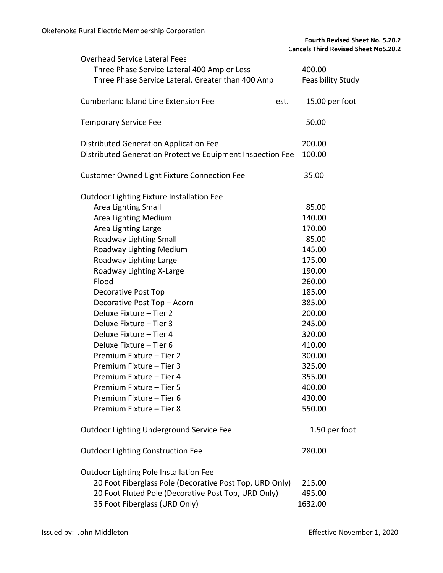| <b>Overhead Service Lateral Fees</b>                       |                          |
|------------------------------------------------------------|--------------------------|
| Three Phase Service Lateral 400 Amp or Less                | 400.00                   |
| Three Phase Service Lateral, Greater than 400 Amp          | <b>Feasibility Study</b> |
|                                                            |                          |
| <b>Cumberland Island Line Extension Fee</b><br>est.        | 15.00 per foot           |
|                                                            |                          |
| <b>Temporary Service Fee</b>                               | 50.00                    |
| <b>Distributed Generation Application Fee</b>              | 200.00                   |
| Distributed Generation Protective Equipment Inspection Fee | 100.00                   |
|                                                            |                          |
| <b>Customer Owned Light Fixture Connection Fee</b>         | 35.00                    |
| <b>Outdoor Lighting Fixture Installation Fee</b>           |                          |
| Area Lighting Small                                        | 85.00                    |
| Area Lighting Medium                                       | 140.00                   |
| Area Lighting Large                                        | 170.00                   |
| Roadway Lighting Small                                     | 85.00                    |
| Roadway Lighting Medium                                    | 145.00                   |
| Roadway Lighting Large                                     | 175.00                   |
| Roadway Lighting X-Large                                   | 190.00                   |
| Flood                                                      | 260.00                   |
| <b>Decorative Post Top</b>                                 | 185.00                   |
| Decorative Post Top - Acorn                                | 385.00                   |
| Deluxe Fixture - Tier 2                                    | 200.00                   |
| Deluxe Fixture - Tier 3                                    | 245.00                   |
| Deluxe Fixture - Tier 4                                    | 320.00                   |
| Deluxe Fixture - Tier 6                                    | 410.00                   |
| Premium Fixture - Tier 2                                   | 300.00                   |
| Premium Fixture - Tier 3                                   | 325.00                   |
| Premium Fixture - Tier 4                                   | 355.00                   |
| Premium Fixture - Tier 5                                   | 400.00                   |
| Premium Fixture - Tier 6                                   | 430.00                   |
| Premium Fixture - Tier 8                                   | 550.00                   |
| Outdoor Lighting Underground Service Fee                   | 1.50 per foot            |
| <b>Outdoor Lighting Construction Fee</b>                   | 280.00                   |
| <b>Outdoor Lighting Pole Installation Fee</b>              |                          |
| 20 Foot Fiberglass Pole (Decorative Post Top, URD Only)    | 215.00                   |
| 20 Foot Fluted Pole (Decorative Post Top, URD Only)        | 495.00                   |
| 35 Foot Fiberglass (URD Only)                              | 1632.00                  |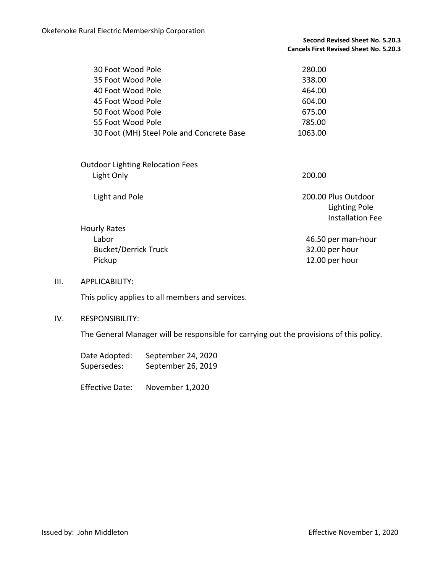| 30 Foot Wood Pole                         | 280.00  |
|-------------------------------------------|---------|
| 35 Foot Wood Pole                         | 338.00  |
| 40 Foot Wood Pole                         | 464.00  |
| 45 Foot Wood Pole                         | 604.00  |
| 50 Foot Wood Pole                         | 675.00  |
| 55 Foot Wood Pole                         | 785.00  |
| 30 Foot (MH) Steel Pole and Concrete Base | 1063.00 |

| <b>Outdoor Lighting Relocation Fees</b> |                      |
|-----------------------------------------|----------------------|
| Light Only                              | 200.00               |
|                                         |                      |
| Light and Pole                          | 200.00 Plus Outdoor  |
|                                         | <b>Lighting Pole</b> |
|                                         | Installation Fee     |
|                                         |                      |

Hourly Rates Labor 46.50 per man-hour Bucket/Derrick Truck 32.00 per hour Pickup 12.00 per hour

### III. APPLICABILITY:

This policy applies to all members and services.

### IV. RESPONSIBILITY:

The General Manager will be responsible for carrying out the provisions of this policy.

| Date Adopted: | September 24, 2020 |
|---------------|--------------------|
| Supersedes:   | September 26, 2019 |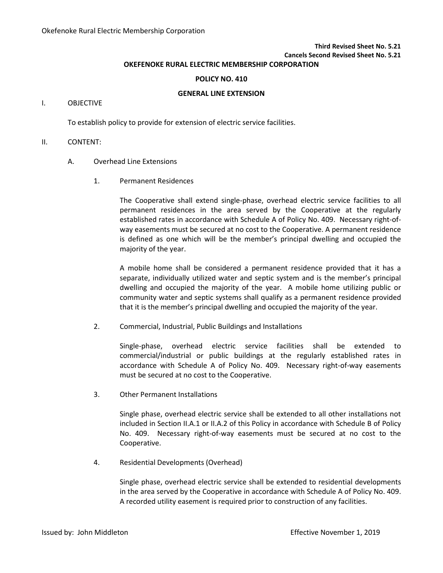**Third Revised Sheet No. 5.21 Cancels Second Revised Sheet No. 5.21**

## **OKEFENOKE RURAL ELECTRIC MEMBERSHIP CORPORATION**

#### **POLICY NO. 410**

#### **GENERAL LINE EXTENSION**

#### I. OBJECTIVE

To establish policy to provide for extension of electric service facilities.

#### II. CONTENT:

#### A. Overhead Line Extensions

1. Permanent Residences

The Cooperative shall extend single-phase, overhead electric service facilities to all permanent residences in the area served by the Cooperative at the regularly established rates in accordance with Schedule A of Policy No. 409. Necessary right-ofway easements must be secured at no cost to the Cooperative. A permanent residence is defined as one which will be the member's principal dwelling and occupied the majority of the year.

A mobile home shall be considered a permanent residence provided that it has a separate, individually utilized water and septic system and is the member's principal dwelling and occupied the majority of the year. A mobile home utilizing public or community water and septic systems shall qualify as a permanent residence provided that it is the member's principal dwelling and occupied the majority of the year.

2. Commercial, Industrial, Public Buildings and Installations

Single-phase, overhead electric service facilities shall be extended to commercial/industrial or public buildings at the regularly established rates in accordance with Schedule A of Policy No. 409. Necessary right-of-way easements must be secured at no cost to the Cooperative.

3. Other Permanent Installations

Single phase, overhead electric service shall be extended to all other installations not included in Section II.A.1 or II.A.2 of this Policy in accordance with Schedule B of Policy No. 409. Necessary right-of-way easements must be secured at no cost to the Cooperative.

4. Residential Developments (Overhead)

Single phase, overhead electric service shall be extended to residential developments in the area served by the Cooperative in accordance with Schedule A of Policy No. 409. A recorded utility easement is required prior to construction of any facilities.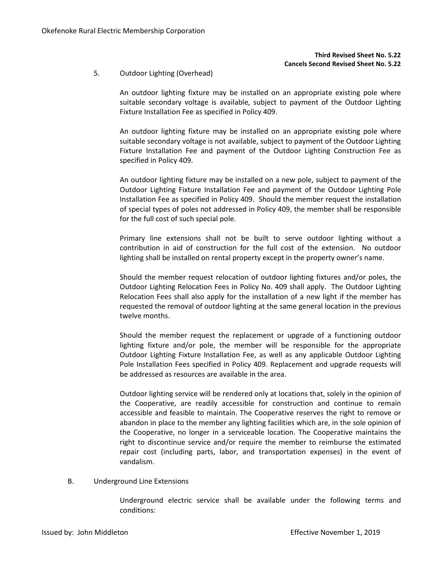### **Third Revised Sheet No. 5.22 Cancels Second Revised Sheet No. 5.22**

5. Outdoor Lighting (Overhead)

An outdoor lighting fixture may be installed on an appropriate existing pole where suitable secondary voltage is available, subject to payment of the Outdoor Lighting Fixture Installation Fee as specified in Policy 409.

An outdoor lighting fixture may be installed on an appropriate existing pole where suitable secondary voltage is not available, subject to payment of the Outdoor Lighting Fixture Installation Fee and payment of the Outdoor Lighting Construction Fee as specified in Policy 409.

An outdoor lighting fixture may be installed on a new pole, subject to payment of the Outdoor Lighting Fixture Installation Fee and payment of the Outdoor Lighting Pole Installation Fee as specified in Policy 409. Should the member request the installation of special types of poles not addressed in Policy 409, the member shall be responsible for the full cost of such special pole.

Primary line extensions shall not be built to serve outdoor lighting without a contribution in aid of construction for the full cost of the extension. No outdoor lighting shall be installed on rental property except in the property owner's name.

Should the member request relocation of outdoor lighting fixtures and/or poles, the Outdoor Lighting Relocation Fees in Policy No. 409 shall apply. The Outdoor Lighting Relocation Fees shall also apply for the installation of a new light if the member has requested the removal of outdoor lighting at the same general location in the previous twelve months.

Should the member request the replacement or upgrade of a functioning outdoor lighting fixture and/or pole, the member will be responsible for the appropriate Outdoor Lighting Fixture Installation Fee, as well as any applicable Outdoor Lighting Pole Installation Fees specified in Policy 409. Replacement and upgrade requests will be addressed as resources are available in the area.

Outdoor lighting service will be rendered only at locations that, solely in the opinion of the Cooperative, are readily accessible for construction and continue to remain accessible and feasible to maintain. The Cooperative reserves the right to remove or abandon in place to the member any lighting facilities which are, in the sole opinion of the Cooperative, no longer in a serviceable location. The Cooperative maintains the right to discontinue service and/or require the member to reimburse the estimated repair cost (including parts, labor, and transportation expenses) in the event of vandalism.

B. Underground Line Extensions

Underground electric service shall be available under the following terms and conditions: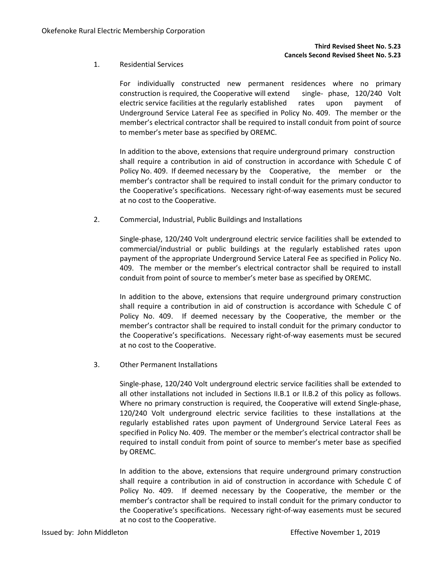### 1. Residential Services

For individually constructed new permanent residences where no primary construction is required, the Cooperative will extend single- phase, 120/240 Volt electric service facilities at the regularly established rates upon payment of Underground Service Lateral Fee as specified in Policy No. 409. The member or the member's electrical contractor shall be required to install conduit from point of source to member's meter base as specified by OREMC.

In addition to the above, extensions that require underground primary construction shall require a contribution in aid of construction in accordance with Schedule C of Policy No. 409. If deemed necessary by the Cooperative, the member or the member's contractor shall be required to install conduit for the primary conductor to the Cooperative's specifications. Necessary right-of-way easements must be secured at no cost to the Cooperative.

2. Commercial, Industrial, Public Buildings and Installations

Single-phase, 120/240 Volt underground electric service facilities shall be extended to commercial/industrial or public buildings at the regularly established rates upon payment of the appropriate Underground Service Lateral Fee as specified in Policy No. 409. The member or the member's electrical contractor shall be required to install conduit from point of source to member's meter base as specified by OREMC.

In addition to the above, extensions that require underground primary construction shall require a contribution in aid of construction is accordance with Schedule C of Policy No. 409. If deemed necessary by the Cooperative, the member or the member's contractor shall be required to install conduit for the primary conductor to the Cooperative's specifications. Necessary right-of-way easements must be secured at no cost to the Cooperative.

3. Other Permanent Installations

Single-phase, 120/240 Volt underground electric service facilities shall be extended to all other installations not included in Sections II.B.1 or II.B.2 of this policy as follows. Where no primary construction is required, the Cooperative will extend Single-phase, 120/240 Volt underground electric service facilities to these installations at the regularly established rates upon payment of Underground Service Lateral Fees as specified in Policy No. 409. The member or the member's electrical contractor shall be required to install conduit from point of source to member's meter base as specified by OREMC.

In addition to the above, extensions that require underground primary construction shall require a contribution in aid of construction in accordance with Schedule C of Policy No. 409. If deemed necessary by the Cooperative, the member or the member's contractor shall be required to install conduit for the primary conductor to the Cooperative's specifications. Necessary right-of-way easements must be secured at no cost to the Cooperative.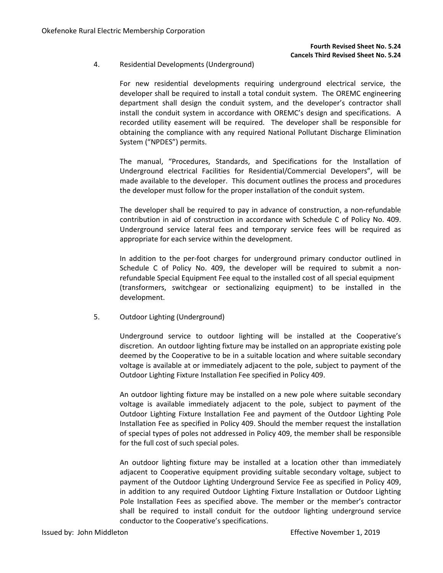### 4. Residential Developments (Underground)

For new residential developments requiring underground electrical service, the developer shall be required to install a total conduit system. The OREMC engineering department shall design the conduit system, and the developer's contractor shall install the conduit system in accordance with OREMC's design and specifications. A recorded utility easement will be required. The developer shall be responsible for obtaining the compliance with any required National Pollutant Discharge Elimination System ("NPDES") permits.

The manual, "Procedures, Standards, and Specifications for the Installation of Underground electrical Facilities for Residential/Commercial Developers", will be made available to the developer. This document outlines the process and procedures the developer must follow for the proper installation of the conduit system.

The developer shall be required to pay in advance of construction, a non-refundable contribution in aid of construction in accordance with Schedule C of Policy No. 409. Underground service lateral fees and temporary service fees will be required as appropriate for each service within the development.

In addition to the per-foot charges for underground primary conductor outlined in Schedule C of Policy No. 409, the developer will be required to submit a nonrefundable Special Equipment Fee equal to the installed cost of all special equipment (transformers, switchgear or sectionalizing equipment) to be installed in the development.

5. Outdoor Lighting (Underground)

Underground service to outdoor lighting will be installed at the Cooperative's discretion. An outdoor lighting fixture may be installed on an appropriate existing pole deemed by the Cooperative to be in a suitable location and where suitable secondary voltage is available at or immediately adjacent to the pole, subject to payment of the Outdoor Lighting Fixture Installation Fee specified in Policy 409.

An outdoor lighting fixture may be installed on a new pole where suitable secondary voltage is available immediately adjacent to the pole, subject to payment of the Outdoor Lighting Fixture Installation Fee and payment of the Outdoor Lighting Pole Installation Fee as specified in Policy 409. Should the member request the installation of special types of poles not addressed in Policy 409, the member shall be responsible for the full cost of such special poles.

An outdoor lighting fixture may be installed at a location other than immediately adjacent to Cooperative equipment providing suitable secondary voltage, subject to payment of the Outdoor Lighting Underground Service Fee as specified in Policy 409, in addition to any required Outdoor Lighting Fixture Installation or Outdoor Lighting Pole Installation Fees as specified above. The member or the member's contractor shall be required to install conduit for the outdoor lighting underground service conductor to the Cooperative's specifications.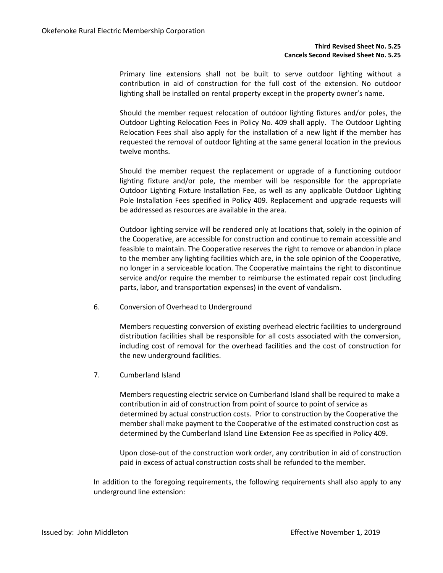Primary line extensions shall not be built to serve outdoor lighting without a contribution in aid of construction for the full cost of the extension. No outdoor lighting shall be installed on rental property except in the property owner's name.

Should the member request relocation of outdoor lighting fixtures and/or poles, the Outdoor Lighting Relocation Fees in Policy No. 409 shall apply. The Outdoor Lighting Relocation Fees shall also apply for the installation of a new light if the member has requested the removal of outdoor lighting at the same general location in the previous twelve months.

Should the member request the replacement or upgrade of a functioning outdoor lighting fixture and/or pole, the member will be responsible for the appropriate Outdoor Lighting Fixture Installation Fee, as well as any applicable Outdoor Lighting Pole Installation Fees specified in Policy 409. Replacement and upgrade requests will be addressed as resources are available in the area.

Outdoor lighting service will be rendered only at locations that, solely in the opinion of the Cooperative, are accessible for construction and continue to remain accessible and feasible to maintain. The Cooperative reserves the right to remove or abandon in place to the member any lighting facilities which are, in the sole opinion of the Cooperative, no longer in a serviceable location. The Cooperative maintains the right to discontinue service and/or require the member to reimburse the estimated repair cost (including parts, labor, and transportation expenses) in the event of vandalism.

6. Conversion of Overhead to Underground

Members requesting conversion of existing overhead electric facilities to underground distribution facilities shall be responsible for all costs associated with the conversion, including cost of removal for the overhead facilities and the cost of construction for the new underground facilities.

7. Cumberland Island

Members requesting electric service on Cumberland Island shall be required to make a contribution in aid of construction from point of source to point of service as determined by actual construction costs. Prior to construction by the Cooperative the member shall make payment to the Cooperative of the estimated construction cost as determined by the Cumberland Island Line Extension Fee as specified in Policy 409**.**

Upon close-out of the construction work order, any contribution in aid of construction paid in excess of actual construction costs shall be refunded to the member.

In addition to the foregoing requirements, the following requirements shall also apply to any underground line extension: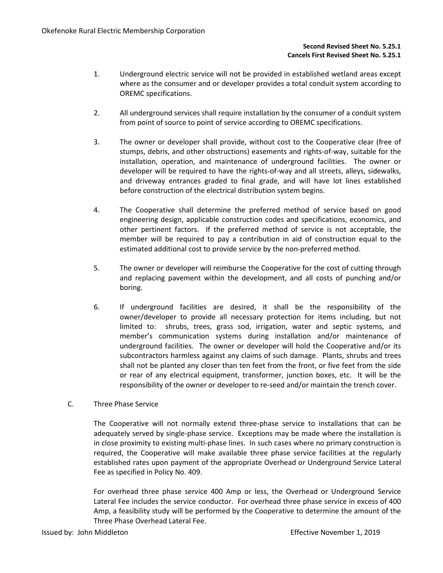- 1. Underground electric service will not be provided in established wetland areas except where as the consumer and or developer provides a total conduit system according to OREMC specifications.
- 2. All underground services shall require installation by the consumer of a conduit system from point of source to point of service according to OREMC specifications.
- 3. The owner or developer shall provide, without cost to the Cooperative clear (free of stumps, debris, and other obstructions) easements and rights-of-way, suitable for the installation, operation, and maintenance of underground facilities. The owner or developer will be required to have the rights-of-way and all streets, alleys, sidewalks, and driveway entrances graded to final grade, and will have lot lines established before construction of the electrical distribution system begins.
- 4. The Cooperative shall determine the preferred method of service based on good engineering design, applicable construction codes and specifications, economics, and other pertinent factors. If the preferred method of service is not acceptable, the member will be required to pay a contribution in aid of construction equal to the estimated additional cost to provide service by the non-preferred method.
- 5. The owner or developer will reimburse the Cooperative for the cost of cutting through and replacing pavement within the development, and all costs of punching and/or boring.
- 6. If underground facilities are desired, it shall be the responsibility of the owner/developer to provide all necessary protection for items including, but not limited to: shrubs, trees, grass sod, irrigation, water and septic systems, and member's communication systems during installation and/or maintenance of underground facilities. The owner or developer will hold the Cooperative and/or its subcontractors harmless against any claims of such damage. Plants, shrubs and trees shall not be planted any closer than ten feet from the front, or five feet from the side or rear of any electrical equipment, transformer, junction boxes, etc. It will be the responsibility of the owner or developer to re-seed and/or maintain the trench cover.
- C. Three Phase Service

The Cooperative will not normally extend three-phase service to installations that can be adequately served by single-phase service. Exceptions may be made where the installation is in close proximity to existing multi-phase lines. In such cases where no primary construction is required, the Cooperative will make available three phase service facilities at the regularly established rates upon payment of the appropriate Overhead or Underground Service Lateral Fee as specified in Policy No. 409.

For overhead three phase service 400 Amp or less, the Overhead or Underground Service Lateral Fee includes the service conductor. For overhead three phase service in excess of 400 Amp, a feasibility study will be performed by the Cooperative to determine the amount of the Three Phase Overhead Lateral Fee.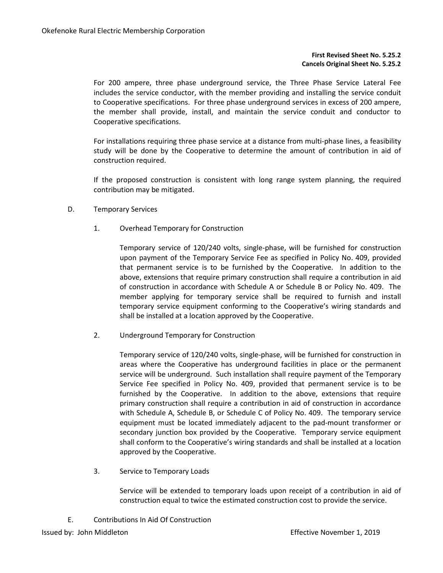### **First Revised Sheet No. 5.25.2 Cancels Original Sheet No. 5.25.2**

For 200 ampere, three phase underground service, the Three Phase Service Lateral Fee includes the service conductor, with the member providing and installing the service conduit to Cooperative specifications. For three phase underground services in excess of 200 ampere, the member shall provide, install, and maintain the service conduit and conductor to Cooperative specifications.

For installations requiring three phase service at a distance from multi-phase lines, a feasibility study will be done by the Cooperative to determine the amount of contribution in aid of construction required.

If the proposed construction is consistent with long range system planning, the required contribution may be mitigated.

- D. Temporary Services
	- 1. Overhead Temporary for Construction

Temporary service of 120/240 volts, single-phase, will be furnished for construction upon payment of the Temporary Service Fee as specified in Policy No. 409, provided that permanent service is to be furnished by the Cooperative. In addition to the above, extensions that require primary construction shall require a contribution in aid of construction in accordance with Schedule A or Schedule B or Policy No. 409. The member applying for temporary service shall be required to furnish and install temporary service equipment conforming to the Cooperative's wiring standards and shall be installed at a location approved by the Cooperative.

2. Underground Temporary for Construction

Temporary service of 120/240 volts, single-phase, will be furnished for construction in areas where the Cooperative has underground facilities in place or the permanent service will be underground. Such installation shall require payment of the Temporary Service Fee specified in Policy No. 409, provided that permanent service is to be furnished by the Cooperative. In addition to the above, extensions that require primary construction shall require a contribution in aid of construction in accordance with Schedule A, Schedule B, or Schedule C of Policy No. 409. The temporary service equipment must be located immediately adjacent to the pad-mount transformer or secondary junction box provided by the Cooperative. Temporary service equipment shall conform to the Cooperative's wiring standards and shall be installed at a location approved by the Cooperative.

3. Service to Temporary Loads

Service will be extended to temporary loads upon receipt of a contribution in aid of construction equal to twice the estimated construction cost to provide the service.

E. Contributions In Aid Of Construction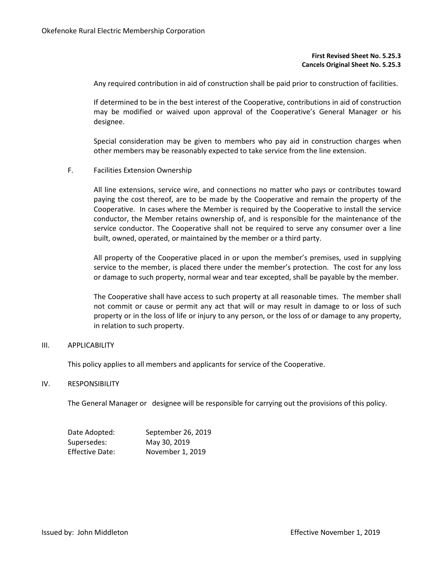#### **First Revised Sheet No. 5.25.3 Cancels Original Sheet No. 5.25.3**

Any required contribution in aid of construction shall be paid prior to construction of facilities.

If determined to be in the best interest of the Cooperative, contributions in aid of construction may be modified or waived upon approval of the Cooperative's General Manager or his designee.

Special consideration may be given to members who pay aid in construction charges when other members may be reasonably expected to take service from the line extension.

F. Facilities Extension Ownership

All line extensions, service wire, and connections no matter who pays or contributes toward paying the cost thereof, are to be made by the Cooperative and remain the property of the Cooperative. In cases where the Member is required by the Cooperative to install the service conductor, the Member retains ownership of, and is responsible for the maintenance of the service conductor. The Cooperative shall not be required to serve any consumer over a line built, owned, operated, or maintained by the member or a third party.

All property of the Cooperative placed in or upon the member's premises, used in supplying service to the member, is placed there under the member's protection. The cost for any loss or damage to such property, normal wear and tear excepted, shall be payable by the member.

The Cooperative shall have access to such property at all reasonable times. The member shall not commit or cause or permit any act that will or may result in damage to or loss of such property or in the loss of life or injury to any person, or the loss of or damage to any property, in relation to such property.

## III. APPLICABILITY

This policy applies to all members and applicants for service of the Cooperative.

#### IV. RESPONSIBILITY

The General Manager or designee will be responsible for carrying out the provisions of this policy.

| Date Adopted:   | September 26, 2019 |
|-----------------|--------------------|
| Supersedes:     | May 30, 2019       |
| Effective Date: | November 1, 2019   |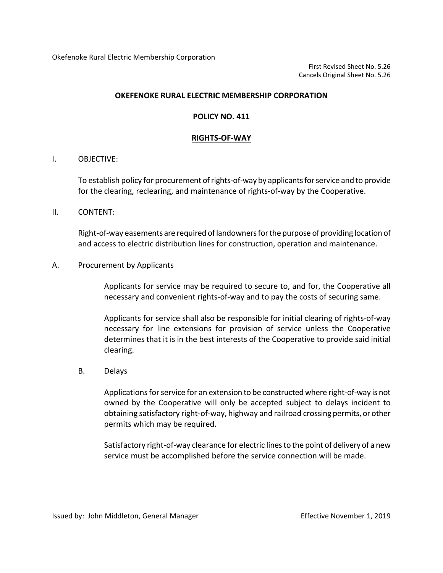Okefenoke Rural Electric Membership Corporation

First Revised Sheet No. 5.26 Cancels Original Sheet No. 5.26

## **OKEFENOKE RURAL ELECTRIC MEMBERSHIP CORPORATION**

## **POLICY NO. 411**

## **RIGHTS-OF-WAY**

## I. OBJECTIVE:

To establish policy for procurement of rights-of-way by applicants for service and to provide for the clearing, reclearing, and maintenance of rights-of-way by the Cooperative.

## II. CONTENT:

Right-of-way easements are required of landowners for the purpose of providing location of and access to electric distribution lines for construction, operation and maintenance.

## A. Procurement by Applicants

Applicants for service may be required to secure to, and for, the Cooperative all necessary and convenient rights-of-way and to pay the costs of securing same.

Applicants for service shall also be responsible for initial clearing of rights-of-way necessary for line extensions for provision of service unless the Cooperative determines that it is in the best interests of the Cooperative to provide said initial clearing.

## B. Delays

Applications for service for an extension to be constructed where right-of-way is not owned by the Cooperative will only be accepted subject to delays incident to obtaining satisfactory right-of-way, highway and railroad crossing permits, or other permits which may be required.

Satisfactory right-of-way clearance for electric lines to the point of delivery of a new service must be accomplished before the service connection will be made.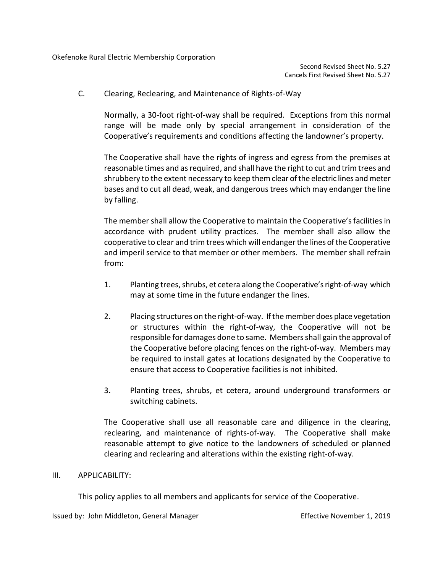C. Clearing, Reclearing, and Maintenance of Rights-of-Way

Normally, a 30-foot right-of-way shall be required. Exceptions from this normal range will be made only by special arrangement in consideration of the Cooperative's requirements and conditions affecting the landowner's property.

The Cooperative shall have the rights of ingress and egress from the premises at reasonable times and as required, and shall have the right to cut and trim trees and shrubbery to the extent necessary to keep them clear of the electric lines and meter bases and to cut all dead, weak, and dangerous trees which may endanger the line by falling.

The member shall allow the Cooperative to maintain the Cooperative's facilities in accordance with prudent utility practices. The member shall also allow the cooperative to clear and trim trees which will endanger the lines of the Cooperative and imperil service to that member or other members. The member shall refrain from:

- 1. Planting trees, shrubs, et cetera along the Cooperative's right-of-way which may at some time in the future endanger the lines.
- 2. Placing structures on the right-of-way. If the member does place vegetation or structures within the right-of-way, the Cooperative will not be responsible for damages done to same. Membersshall gain the approval of the Cooperative before placing fences on the right-of-way. Members may be required to install gates at locations designated by the Cooperative to ensure that access to Cooperative facilities is not inhibited.
- 3. Planting trees, shrubs, et cetera, around underground transformers or switching cabinets.

The Cooperative shall use all reasonable care and diligence in the clearing, reclearing, and maintenance of rights-of-way. The Cooperative shall make reasonable attempt to give notice to the landowners of scheduled or planned clearing and reclearing and alterations within the existing right-of-way.

## III. APPLICABILITY:

This policy applies to all members and applicants for service of the Cooperative.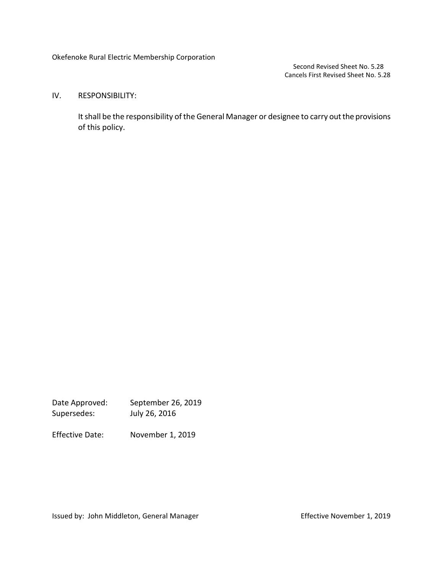Okefenoke Rural Electric Membership Corporation

Second Revised Sheet No. 5.28 Cancels First Revised Sheet No. 5.28

## IV. RESPONSIBILITY:

It shall be the responsibility of the General Manager or designee to carry out the provisions of this policy.

Date Approved: September 26, 2019 Supersedes: July 26, 2016

Effective Date: November 1, 2019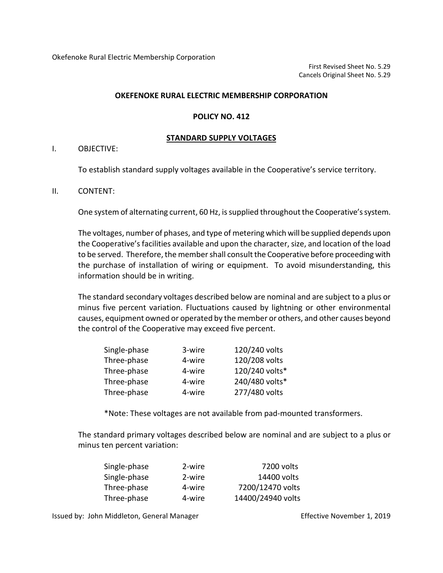## **POLICY NO. 412**

## **STANDARD SUPPLY VOLTAGES**

## I. OBJECTIVE:

To establish standard supply voltages available in the Cooperative's service territory.

## II. CONTENT:

One system of alternating current, 60 Hz, is supplied throughout the Cooperative's system.

The voltages, number of phases, and type of metering which will be supplied depends upon the Cooperative's facilities available and upon the character, size, and location of the load to be served. Therefore, the member shall consult the Cooperative before proceeding with the purchase of installation of wiring or equipment. To avoid misunderstanding, this information should be in writing.

The standard secondary voltages described below are nominal and are subject to a plus or minus five percent variation. Fluctuations caused by lightning or other environmental causes, equipment owned or operated by the member or others, and other causes beyond the control of the Cooperative may exceed five percent.

| Single-phase | 3-wire | 120/240 volts  |
|--------------|--------|----------------|
| Three-phase  | 4-wire | 120/208 volts  |
| Three-phase  | 4-wire | 120/240 volts* |
| Three-phase  | 4-wire | 240/480 volts* |
| Three-phase  | 4-wire | 277/480 volts  |

\*Note: These voltages are not available from pad-mounted transformers.

The standard primary voltages described below are nominal and are subject to a plus or minus ten percent variation:

| Single-phase | 2-wire | 7200 volts        |
|--------------|--------|-------------------|
| Single-phase | 2-wire | 14400 volts       |
| Three-phase  | 4-wire | 7200/12470 volts  |
| Three-phase  | 4-wire | 14400/24940 volts |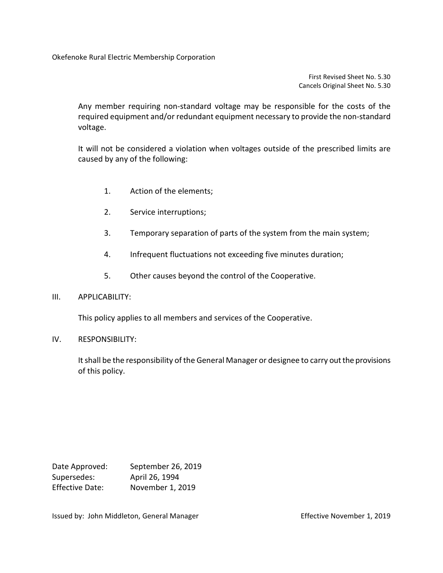Okefenoke Rural Electric Membership Corporation

First Revised Sheet No. 5.30 Cancels Original Sheet No. 5.30

Any member requiring non-standard voltage may be responsible for the costs of the required equipment and/or redundant equipment necessary to provide the non-standard voltage.

It will not be considered a violation when voltages outside of the prescribed limits are caused by any of the following:

- 1. Action of the elements;
- 2. Service interruptions;
- 3. Temporary separation of parts of the system from the main system;
- 4. Infrequent fluctuations not exceeding five minutes duration;
- 5. Other causes beyond the control of the Cooperative.
- III. APPLICABILITY:

This policy applies to all members and services of the Cooperative.

IV. RESPONSIBILITY:

It shall be the responsibility of the General Manager or designee to carry out the provisions of this policy.

| Date Approved:         | September 26, 2019 |
|------------------------|--------------------|
| Supersedes:            | April 26, 1994     |
| <b>Effective Date:</b> | November 1, 2019   |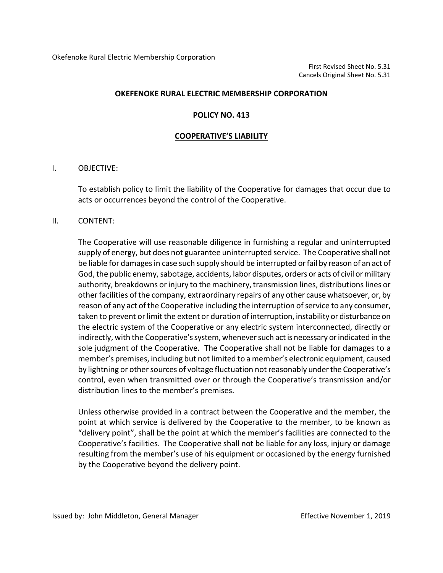### **POLICY NO. 413**

#### **COOPERATIVE'S LIABILITY**

### I. OBJECTIVE:

To establish policy to limit the liability of the Cooperative for damages that occur due to acts or occurrences beyond the control of the Cooperative.

### II. CONTENT:

The Cooperative will use reasonable diligence in furnishing a regular and uninterrupted supply of energy, but does not guarantee uninterrupted service. The Cooperative shall not be liable for damages in case such supply should be interrupted or fail by reason of an act of God, the public enemy, sabotage, accidents, labor disputes, orders or acts of civil or military authority, breakdowns or injury to the machinery, transmission lines, distributions lines or other facilities of the company, extraordinary repairs of any other cause whatsoever, or, by reason of any act of the Cooperative including the interruption of service to any consumer, taken to prevent or limit the extent or duration of interruption, instability or disturbance on the electric system of the Cooperative or any electric system interconnected, directly or indirectly, with the Cooperative's system, whenever such act is necessary or indicated in the sole judgment of the Cooperative. The Cooperative shall not be liable for damages to a member's premises, including but not limited to a member's electronic equipment, caused by lightning or other sources of voltage fluctuation not reasonably under the Cooperative's control, even when transmitted over or through the Cooperative's transmission and/or distribution lines to the member's premises.

Unless otherwise provided in a contract between the Cooperative and the member, the point at which service is delivered by the Cooperative to the member, to be known as "delivery point", shall be the point at which the member's facilities are connected to the Cooperative's facilities. The Cooperative shall not be liable for any loss, injury or damage resulting from the member's use of his equipment or occasioned by the energy furnished by the Cooperative beyond the delivery point.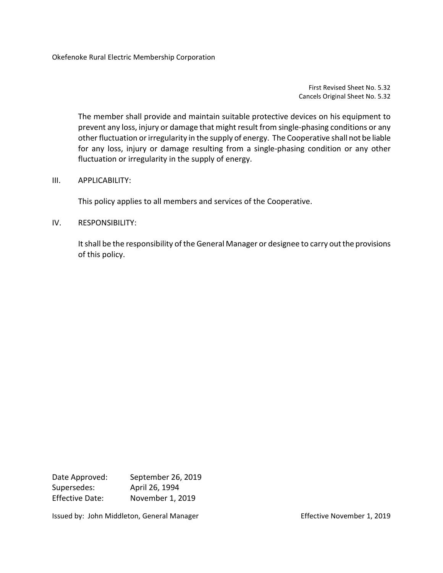Okefenoke Rural Electric Membership Corporation

First Revised Sheet No. 5.32 Cancels Original Sheet No. 5.32

The member shall provide and maintain suitable protective devices on his equipment to prevent any loss, injury or damage that might result from single-phasing conditions or any other fluctuation or irregularity in the supply of energy. The Cooperative shall not be liable for any loss, injury or damage resulting from a single-phasing condition or any other fluctuation or irregularity in the supply of energy.

## III. APPLICABILITY:

This policy applies to all members and services of the Cooperative.

## IV. RESPONSIBILITY:

It shall be the responsibility of the General Manager or designee to carry out the provisions of this policy.

Date Approved: September 26, 2019 Supersedes: April 26, 1994 Effective Date: November 1, 2019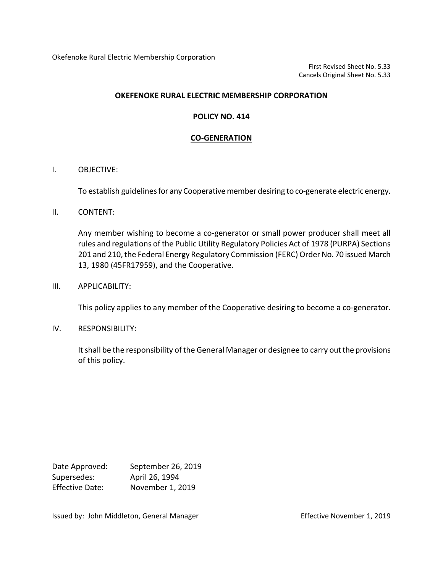Okefenoke Rural Electric Membership Corporation

First Revised Sheet No. 5.33 Cancels Original Sheet No. 5.33

## **OKEFENOKE RURAL ELECTRIC MEMBERSHIP CORPORATION**

## **POLICY NO. 414**

## **CO-GENERATION**

## I. OBJECTIVE:

To establish guidelines for any Cooperative member desiring to co-generate electric energy.

## II. CONTENT:

Any member wishing to become a co-generator or small power producer shall meet all rules and regulations of the Public Utility Regulatory Policies Act of 1978 (PURPA) Sections 201 and 210, the Federal Energy Regulatory Commission (FERC) Order No. 70 issued March 13, 1980 (45FR17959), and the Cooperative.

III. APPLICABILITY:

This policy applies to any member of the Cooperative desiring to become a co-generator.

IV. RESPONSIBILITY:

It shall be the responsibility of the General Manager or designee to carry out the provisions of this policy.

| Date Approved:         | September 26, 2019 |
|------------------------|--------------------|
| Supersedes:            | April 26, 1994     |
| <b>Effective Date:</b> | November 1, 2019   |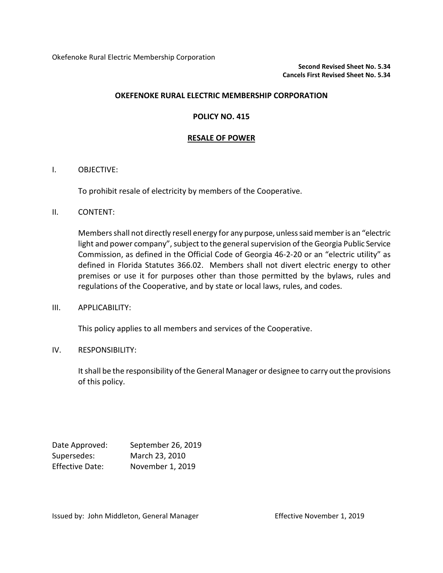## **POLICY NO. 415**

## **RESALE OF POWER**

## I. OBJECTIVE:

To prohibit resale of electricity by members of the Cooperative.

## II. CONTENT:

Membersshall not directly resell energy for any purpose, unless said member is an "electric light and power company", subject to the general supervision of the Georgia Public Service Commission, as defined in the Official Code of Georgia 46-2-20 or an "electric utility" as defined in Florida Statutes 366.02. Members shall not divert electric energy to other premises or use it for purposes other than those permitted by the bylaws, rules and regulations of the Cooperative, and by state or local laws, rules, and codes.

## III. APPLICABILITY:

This policy applies to all members and services of the Cooperative.

## IV. RESPONSIBILITY:

It shall be the responsibility of the General Manager or designee to carry out the provisions of this policy.

| Date Approved:         | September 26, 2019 |
|------------------------|--------------------|
| Supersedes:            | March 23, 2010     |
| <b>Effective Date:</b> | November 1, 2019   |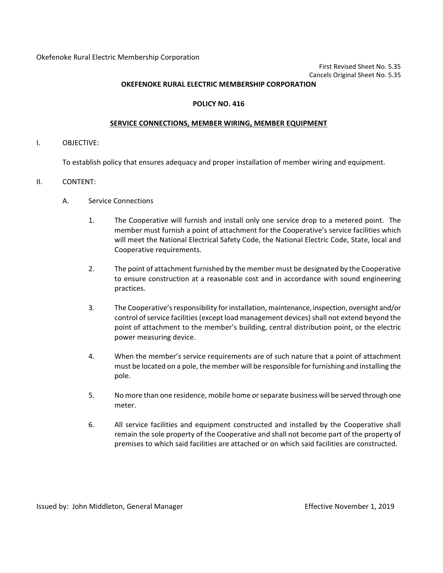#### **POLICY NO. 416**

#### **SERVICE CONNECTIONS, MEMBER WIRING, MEMBER EQUIPMENT**

I. OBJECTIVE:

To establish policy that ensures adequacy and proper installation of member wiring and equipment.

- II. CONTENT:
	- A. Service Connections
		- 1. The Cooperative will furnish and install only one service drop to a metered point. The member must furnish a point of attachment for the Cooperative's service facilities which will meet the National Electrical Safety Code, the National Electric Code, State, local and Cooperative requirements.
		- 2. The point of attachment furnished by the member must be designated by the Cooperative to ensure construction at a reasonable cost and in accordance with sound engineering practices.
		- 3. The Cooperative's responsibility for installation, maintenance, inspection, oversight and/or control of service facilities (except load management devices) shall not extend beyond the point of attachment to the member's building, central distribution point, or the electric power measuring device.
		- 4. When the member's service requirements are of such nature that a point of attachment must be located on a pole, the member will be responsible for furnishing and installing the pole.
		- 5. No more than one residence, mobile home or separate business will be served through one meter.
		- 6. All service facilities and equipment constructed and installed by the Cooperative shall remain the sole property of the Cooperative and shall not become part of the property of premises to which said facilities are attached or on which said facilities are constructed.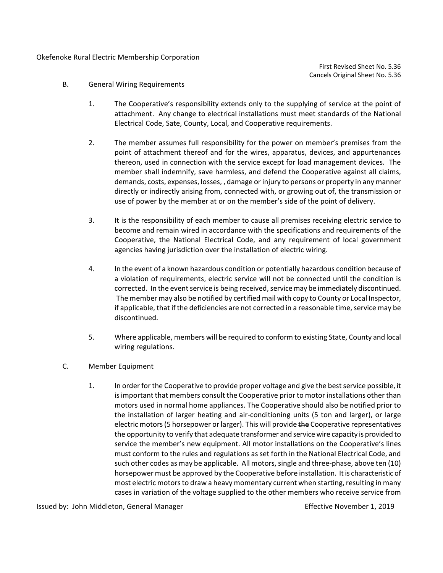### Okefenoke Rural Electric Membership Corporation

First Revised Sheet No. 5.36 Cancels Original Sheet No. 5.36

- B. General Wiring Requirements
	- 1. The Cooperative's responsibility extends only to the supplying of service at the point of attachment. Any change to electrical installations must meet standards of the National Electrical Code, Sate, County, Local, and Cooperative requirements.
	- 2. The member assumes full responsibility for the power on member's premises from the point of attachment thereof and for the wires, apparatus, devices, and appurtenances thereon, used in connection with the service except for load management devices. The member shall indemnify, save harmless, and defend the Cooperative against all claims, demands, costs, expenses, losses, , damage or injury to persons or property in any manner directly or indirectly arising from, connected with, or growing out of, the transmission or use of power by the member at or on the member's side of the point of delivery.
	- 3. It is the responsibility of each member to cause all premises receiving electric service to become and remain wired in accordance with the specifications and requirements of the Cooperative, the National Electrical Code, and any requirement of local government agencies having jurisdiction over the installation of electric wiring.
	- 4. In the event of a known hazardous condition or potentially hazardous condition because of a violation of requirements, electric service will not be connected until the condition is corrected. In the event service is being received, service may be immediately discontinued. The member may also be notified by certified mail with copy to County or Local Inspector, if applicable, that if the deficiencies are not corrected in a reasonable time, service may be discontinued.
	- 5. Where applicable, members will be required to conform to existing State, County and local wiring regulations.
- C. Member Equipment
	- 1. In order for the Cooperative to provide proper voltage and give the best service possible, it is important that members consult the Cooperative prior to motor installations other than motors used in normal home appliances. The Cooperative should also be notified prior to the installation of larger heating and air-conditioning units (5 ton and larger), or large electric motors (5 horsepower or larger). This will provide the Cooperative representatives the opportunity to verify that adequate transformer and service wire capacity is provided to service the member's new equipment. All motor installations on the Cooperative's lines must conform to the rules and regulations as set forth in the National Electrical Code, and such other codes as may be applicable. All motors, single and three-phase, above ten (10) horsepower must be approved by the Cooperative before installation. It is characteristic of most electric motors to draw a heavy momentary current when starting, resulting in many cases in variation of the voltage supplied to the other members who receive service from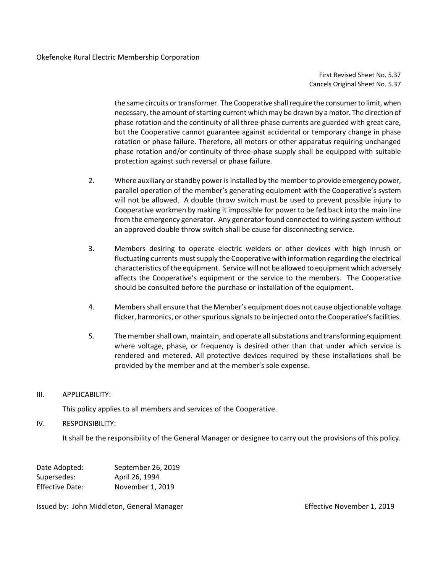First Revised Sheet No. 5.37 Cancels Original Sheet No. 5.37

the same circuits or transformer. The Cooperative shall require the consumer to limit, when necessary, the amount of starting current which may be drawn by a motor. The direction of phase rotation and the continuity of all three-phase currents are guarded with great care, but the Cooperative cannot guarantee against accidental or temporary change in phase rotation or phase failure. Therefore, all motors or other apparatus requiring unchanged phase rotation and/or continuity of three-phase supply shall be equipped with suitable protection against such reversal or phase failure.

- 2. Where auxiliary or standby power is installed by the member to provide emergency power, parallel operation of the member's generating equipment with the Cooperative's system will not be allowed. A double throw switch must be used to prevent possible injury to Cooperative workmen by making it impossible for power to be fed back into the main line from the emergency generator. Any generator found connected to wiring system without an approved double throw switch shall be cause for disconnecting service.
- 3. Members desiring to operate electric welders or other devices with high inrush or fluctuating currents must supply the Cooperative with information regarding the electrical characteristics of the equipment. Service will not be allowed to equipment which adversely affects the Cooperative's equipment or the service to the members. The Cooperative should be consulted before the purchase or installation of the equipment.
- 4. Members shall ensure that the Member's equipment does not cause objectionable voltage flicker, harmonics, or other spurious signals to be injected onto the Cooperative's facilities.
- 5. The member shall own, maintain, and operate all substations and transforming equipment where voltage, phase, or frequency is desired other than that under which service is rendered and metered. All protective devices required by these installations shall be provided by the member and at the member's sole expense.

## III. APPLICABILITY:

This policy applies to all members and services of the Cooperative.

## IV. RESPONSIBILITY:

It shall be the responsibility of the General Manager or designee to carry out the provisions of this policy.

| Date Adopted:          | September 26, 2019 |
|------------------------|--------------------|
| Supersedes:            | April 26, 1994     |
| <b>Effective Date:</b> | November 1, 2019   |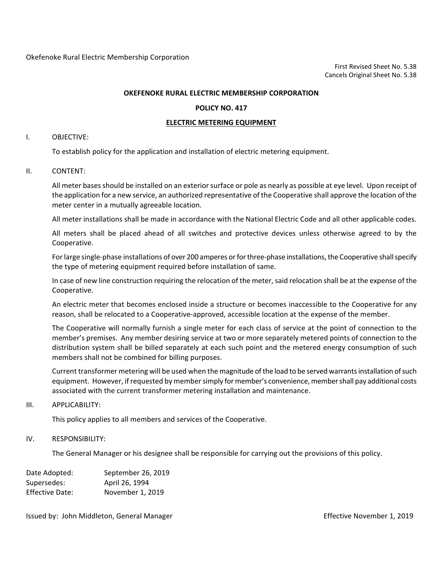#### **POLICY NO. 417**

#### **ELECTRIC METERING EQUIPMENT**

#### I. OBJECTIVE:

To establish policy for the application and installation of electric metering equipment.

#### II. CONTENT:

All meter bases should be installed on an exterior surface or pole as nearly as possible at eye level. Upon receipt of the application for a new service, an authorized representative of the Cooperative shall approve the location of the meter center in a mutually agreeable location.

All meter installations shall be made in accordance with the National Electric Code and all other applicable codes.

All meters shall be placed ahead of all switches and protective devices unless otherwise agreed to by the Cooperative.

For large single-phase installations of over 200 amperes or for three-phase installations, the Cooperative shall specify the type of metering equipment required before installation of same.

In case of new line construction requiring the relocation of the meter, said relocation shall be at the expense of the Cooperative.

An electric meter that becomes enclosed inside a structure or becomes inaccessible to the Cooperative for any reason, shall be relocated to a Cooperative-approved, accessible location at the expense of the member.

The Cooperative will normally furnish a single meter for each class of service at the point of connection to the member's premises. Any member desiring service at two or more separately metered points of connection to the distribution system shall be billed separately at each such point and the metered energy consumption of such members shall not be combined for billing purposes.

Current transformer metering will be used when the magnitude of the load to be served warrants installation ofsuch equipment. However, if requested by member simply for member's convenience, member shall pay additional costs associated with the current transformer metering installation and maintenance.

#### III. APPLICABILITY:

This policy applies to all members and services of the Cooperative.

#### IV. RESPONSIBILITY:

The General Manager or his designee shall be responsible for carrying out the provisions of this policy.

| Date Adopted:          | September 26, 2019 |
|------------------------|--------------------|
| Supersedes:            | April 26, 1994     |
| <b>Effective Date:</b> | November 1, 2019   |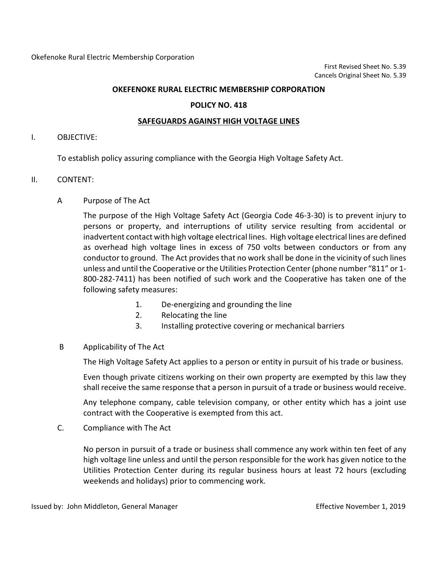## **POLICY NO. 418**

## **SAFEGUARDS AGAINST HIGH VOLTAGE LINES**

## I. OBJECTIVE:

To establish policy assuring compliance with the Georgia High Voltage Safety Act.

## II. CONTENT:

A Purpose of The Act

The purpose of the High Voltage Safety Act (Georgia Code 46-3-30) is to prevent injury to persons or property, and interruptions of utility service resulting from accidental or inadvertent contact with high voltage electrical lines. High voltage electrical lines are defined as overhead high voltage lines in excess of 750 volts between conductors or from any conductor to ground. The Act provides that no work shall be done in the vicinity of such lines unless and until the Cooperative or the Utilities Protection Center (phone number "811" or 1- 800-282-7411) has been notified of such work and the Cooperative has taken one of the following safety measures:

- 1. De-energizing and grounding the line
- 2. Relocating the line
- 3. Installing protective covering or mechanical barriers
- B Applicability of The Act

The High Voltage Safety Act applies to a person or entity in pursuit of his trade or business.

Even though private citizens working on their own property are exempted by this law they shall receive the same response that a person in pursuit of a trade or business would receive.

Any telephone company, cable television company, or other entity which has a joint use contract with the Cooperative is exempted from this act.

C. Compliance with The Act

No person in pursuit of a trade or business shall commence any work within ten feet of any high voltage line unless and until the person responsible for the work has given notice to the Utilities Protection Center during its regular business hours at least 72 hours (excluding weekends and holidays) prior to commencing work.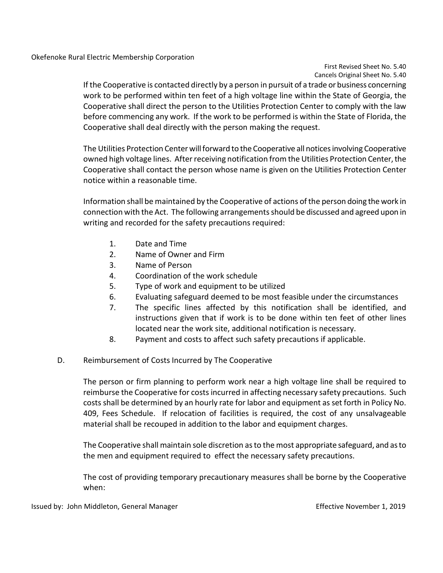# First Revised Sheet No. 5.40 Cancels Original Sheet No. 5.40

If the Cooperative is contacted directly by a person in pursuit of a trade or business concerning work to be performed within ten feet of a high voltage line within the State of Georgia, the Cooperative shall direct the person to the Utilities Protection Center to comply with the law before commencing any work. If the work to be performed is within the State of Florida, the Cooperative shall deal directly with the person making the request.

The Utilities Protection Center will forward to the Cooperative all notices involving Cooperative owned high voltage lines. After receiving notification from the Utilities Protection Center, the Cooperative shall contact the person whose name is given on the Utilities Protection Center notice within a reasonable time.

Information shall be maintained by the Cooperative of actions of the person doing the work in connection with the Act. The following arrangements should be discussed and agreed upon in writing and recorded for the safety precautions required:

- 1. Date and Time
- 2. Name of Owner and Firm
- 3. Name of Person
- 4. Coordination of the work schedule
- 5. Type of work and equipment to be utilized
- 6. Evaluating safeguard deemed to be most feasible under the circumstances
- 7. The specific lines affected by this notification shall be identified, and instructions given that if work is to be done within ten feet of other lines located near the work site, additional notification is necessary.
- 8. Payment and costs to affect such safety precautions if applicable.
- D. Reimbursement of Costs Incurred by The Cooperative

The person or firm planning to perform work near a high voltage line shall be required to reimburse the Cooperative for costs incurred in affecting necessary safety precautions. Such costs shall be determined by an hourly rate for labor and equipment as set forth in Policy No. 409, Fees Schedule. If relocation of facilities is required, the cost of any unsalvageable material shall be recouped in addition to the labor and equipment charges.

The Cooperative shall maintain sole discretion as to the most appropriate safeguard, and as to the men and equipment required to effect the necessary safety precautions.

The cost of providing temporary precautionary measures shall be borne by the Cooperative when: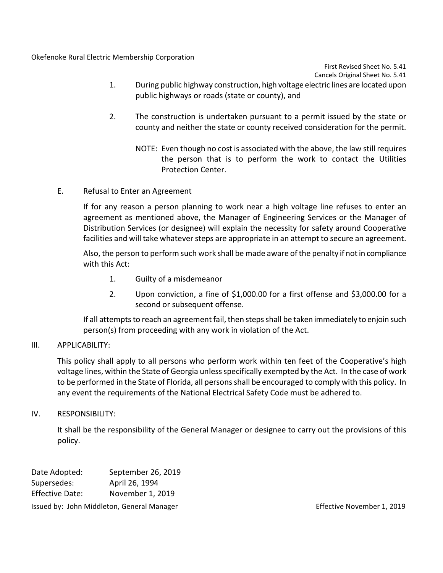Okefenoke Rural Electric Membership Corporation

First Revised Sheet No. 5.41 Cancels Original Sheet No. 5.41

- 1. During public highway construction, high voltage electric lines are located upon public highways or roads (state or county), and
- 2. The construction is undertaken pursuant to a permit issued by the state or county and neither the state or county received consideration for the permit.
	- NOTE: Even though no cost is associated with the above, the law still requires the person that is to perform the work to contact the Utilities Protection Center.
- E. Refusal to Enter an Agreement

If for any reason a person planning to work near a high voltage line refuses to enter an agreement as mentioned above, the Manager of Engineering Services or the Manager of Distribution Services (or designee) will explain the necessity for safety around Cooperative facilities and will take whatever steps are appropriate in an attempt to secure an agreement.

Also, the person to perform such work shall be made aware of the penalty if not in compliance with this Act:

- 1. Guilty of a misdemeanor
- 2. Upon conviction, a fine of \$1,000.00 for a first offense and \$3,000.00 for a second or subsequent offense.

If all attempts to reach an agreement fail, then steps shall be taken immediately to enjoin such person(s) from proceeding with any work in violation of the Act.

# III. APPLICABILITY:

This policy shall apply to all persons who perform work within ten feet of the Cooperative's high voltage lines, within the State of Georgia unless specifically exempted by the Act. In the case of work to be performed in the State of Florida, all persons shall be encouraged to comply with this policy. In any event the requirements of the National Electrical Safety Code must be adhered to.

# IV. RESPONSIBILITY:

It shall be the responsibility of the General Manager or designee to carry out the provisions of this policy.

| Date Adopted:                              | September 26, 2019 |
|--------------------------------------------|--------------------|
| Supersedes:                                | April 26, 1994     |
| <b>Effective Date:</b>                     | November 1, 2019   |
| Issued by: John Middleton, General Manager |                    |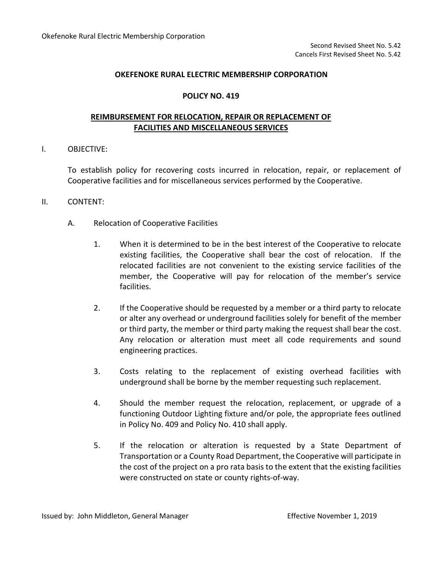## **POLICY NO. 419**

# **REIMBURSEMENT FOR RELOCATION, REPAIR OR REPLACEMENT OF FACILITIES AND MISCELLANEOUS SERVICES**

## I. OBJECTIVE:

To establish policy for recovering costs incurred in relocation, repair, or replacement of Cooperative facilities and for miscellaneous services performed by the Cooperative.

## II. CONTENT:

- A. Relocation of Cooperative Facilities
	- 1. When it is determined to be in the best interest of the Cooperative to relocate existing facilities, the Cooperative shall bear the cost of relocation. If the relocated facilities are not convenient to the existing service facilities of the member, the Cooperative will pay for relocation of the member's service facilities.
	- 2. If the Cooperative should be requested by a member or a third party to relocate or alter any overhead or underground facilities solely for benefit of the member or third party, the member or third party making the request shall bear the cost. Any relocation or alteration must meet all code requirements and sound engineering practices.
	- 3. Costs relating to the replacement of existing overhead facilities with underground shall be borne by the member requesting such replacement.
	- 4. Should the member request the relocation, replacement, or upgrade of a functioning Outdoor Lighting fixture and/or pole, the appropriate fees outlined in Policy No. 409 and Policy No. 410 shall apply.
	- 5. If the relocation or alteration is requested by a State Department of Transportation or a County Road Department, the Cooperative will participate in the cost of the project on a pro rata basis to the extent that the existing facilities were constructed on state or county rights-of-way.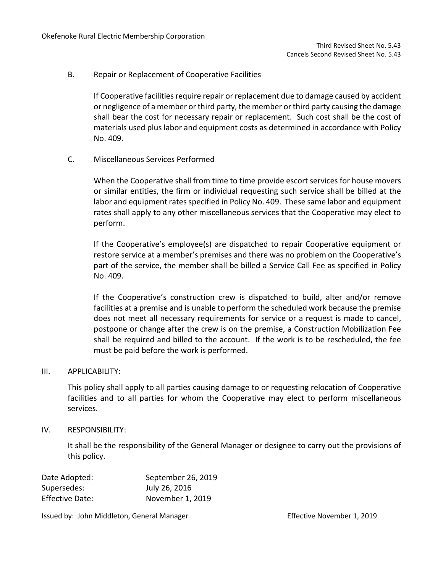B. Repair or Replacement of Cooperative Facilities

If Cooperative facilities require repair or replacement due to damage caused by accident or negligence of a member or third party, the member or third party causing the damage shall bear the cost for necessary repair or replacement. Such cost shall be the cost of materials used plus labor and equipment costs as determined in accordance with Policy No. 409.

C. Miscellaneous Services Performed

When the Cooperative shall from time to time provide escort services for house movers or similar entities, the firm or individual requesting such service shall be billed at the labor and equipment rates specified in Policy No. 409. These same labor and equipment rates shall apply to any other miscellaneous services that the Cooperative may elect to perform.

If the Cooperative's employee(s) are dispatched to repair Cooperative equipment or restore service at a member's premises and there was no problem on the Cooperative's part of the service, the member shall be billed a Service Call Fee as specified in Policy No. 409.

If the Cooperative's construction crew is dispatched to build, alter and/or remove facilities at a premise and is unable to perform the scheduled work because the premise does not meet all necessary requirements for service or a request is made to cancel, postpone or change after the crew is on the premise, a Construction Mobilization Fee shall be required and billed to the account. If the work is to be rescheduled, the fee must be paid before the work is performed.

## III. APPLICABILITY:

This policy shall apply to all parties causing damage to or requesting relocation of Cooperative facilities and to all parties for whom the Cooperative may elect to perform miscellaneous services.

## IV. RESPONSIBILITY:

It shall be the responsibility of the General Manager or designee to carry out the provisions of this policy.

| Date Adopted:          | September 26, 2019 |
|------------------------|--------------------|
| Supersedes:            | July 26, 2016      |
| <b>Effective Date:</b> | November 1, 2019   |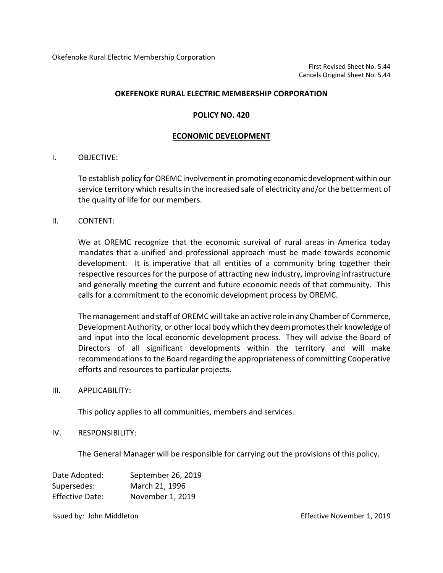## **POLICY NO. 420**

### **ECONOMIC DEVELOPMENT**

## I. OBJECTIVE:

To establish policy for OREMC involvement in promoting economic development within our service territory which results in the increased sale of electricity and/or the betterment of the quality of life for our members.

## II. CONTENT:

We at OREMC recognize that the economic survival of rural areas in America today mandates that a unified and professional approach must be made towards economic development. It is imperative that all entities of a community bring together their respective resources for the purpose of attracting new industry, improving infrastructure and generally meeting the current and future economic needs of that community. This calls for a commitment to the economic development process by OREMC.

The management and staff of OREMC will take an active role in any Chamber of Commerce, Development Authority, or other local body which they deem promotes their knowledge of and input into the local economic development process. They will advise the Board of Directors of all significant developments within the territory and will make recommendations to the Board regarding the appropriateness of committing Cooperative efforts and resources to particular projects.

## III. APPLICABILITY:

This policy applies to all communities, members and services.

## IV. RESPONSIBILITY:

The General Manager will be responsible for carrying out the provisions of this policy.

| Date Adopted:          | September 26, 2019 |
|------------------------|--------------------|
| Supersedes:            | March 21, 1996     |
| <b>Effective Date:</b> | November 1, 2019   |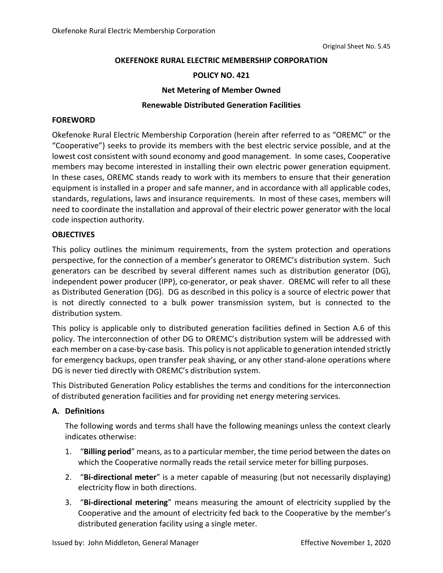## **POLICY NO. 421**

## **Net Metering of Member Owned**

## **Renewable Distributed Generation Facilities**

## **FOREWORD**

Okefenoke Rural Electric Membership Corporation (herein after referred to as "OREMC" or the "Cooperative") seeks to provide its members with the best electric service possible, and at the lowest cost consistent with sound economy and good management. In some cases, Cooperative members may become interested in installing their own electric power generation equipment. In these cases, OREMC stands ready to work with its members to ensure that their generation equipment is installed in a proper and safe manner, and in accordance with all applicable codes, standards, regulations, laws and insurance requirements. In most of these cases, members will need to coordinate the installation and approval of their electric power generator with the local code inspection authority.

## **OBJECTIVES**

This policy outlines the minimum requirements, from the system protection and operations perspective, for the connection of a member's generator to OREMC's distribution system. Such generators can be described by several different names such as distribution generator (DG), independent power producer (IPP), co-generator, or peak shaver. OREMC will refer to all these as Distributed Generation (DG). DG as described in this policy is a source of electric power that is not directly connected to a bulk power transmission system, but is connected to the distribution system.

This policy is applicable only to distributed generation facilities defined in Section A.6 of this policy. The interconnection of other DG to OREMC's distribution system will be addressed with each member on a case-by-case basis. This policy is not applicable to generation intended strictly for emergency backups, open transfer peak shaving, or any other stand-alone operations where DG is never tied directly with OREMC's distribution system.

This Distributed Generation Policy establishes the terms and conditions for the interconnection of distributed generation facilities and for providing net energy metering services.

## **A. Definitions**

The following words and terms shall have the following meanings unless the context clearly indicates otherwise:

- 1. "**Billing period**" means, as to a particular member, the time period between the dates on which the Cooperative normally reads the retail service meter for billing purposes.
- 2. "**Bi-directional meter**" is a meter capable of measuring (but not necessarily displaying) electricity flow in both directions.
- 3. "**Bi-directional metering**" means measuring the amount of electricity supplied by the Cooperative and the amount of electricity fed back to the Cooperative by the member's distributed generation facility using a single meter.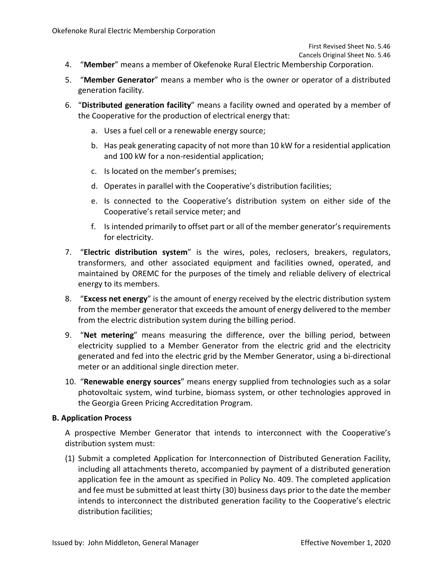Cancels Original Sheet No. 5.46

- 4. "**Member**" means a member of Okefenoke Rural Electric Membership Corporation.
- 5. "**Member Generator**" means a member who is the owner or operator of a distributed generation facility.
- 6. "**Distributed generation facility**" means a facility owned and operated by a member of the Cooperative for the production of electrical energy that:
	- a. Uses a fuel cell or a renewable energy source;
	- b. Has peak generating capacity of not more than 10 kW for a residential application and 100 kW for a non-residential application;
	- c. Is located on the member's premises;
	- d. Operates in parallel with the Cooperative's distribution facilities;
	- e. Is connected to the Cooperative's distribution system on either side of the Cooperative's retail service meter; and
	- f. Is intended primarily to offset part or all of the member generator's requirements for electricity.
- 7. "**Electric distribution system**" is the wires, poles, reclosers, breakers, regulators, transformers, and other associated equipment and facilities owned, operated, and maintained by OREMC for the purposes of the timely and reliable delivery of electrical energy to its members.
- 8. "**Excess net energy**" is the amount of energy received by the electric distribution system from the member generator that exceeds the amount of energy delivered to the member from the electric distribution system during the billing period.
- 9. "**Net metering**" means measuring the difference, over the billing period, between electricity supplied to a Member Generator from the electric grid and the electricity generated and fed into the electric grid by the Member Generator, using a bi-directional meter or an additional single direction meter.
- 10. "**Renewable energy sources**" means energy supplied from technologies such as a solar photovoltaic system, wind turbine, biomass system, or other technologies approved in the Georgia Green Pricing Accreditation Program.

## **B. Application Process**

A prospective Member Generator that intends to interconnect with the Cooperative's distribution system must:

(1) Submit a completed Application for Interconnection of Distributed Generation Facility, including all attachments thereto, accompanied by payment of a distributed generation application fee in the amount as specified in Policy No. 409. The completed application and fee must be submitted at least thirty (30) business days prior to the date the member intends to interconnect the distributed generation facility to the Cooperative's electric distribution facilities;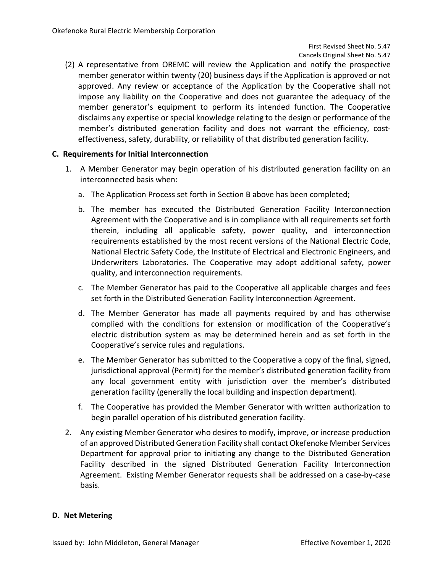(2) A representative from OREMC will review the Application and notify the prospective member generator within twenty (20) business days if the Application is approved or not approved. Any review or acceptance of the Application by the Cooperative shall not impose any liability on the Cooperative and does not guarantee the adequacy of the member generator's equipment to perform its intended function. The Cooperative disclaims any expertise or special knowledge relating to the design or performance of the member's distributed generation facility and does not warrant the efficiency, costeffectiveness, safety, durability, or reliability of that distributed generation facility.

## **C. Requirements for Initial Interconnection**

- 1. A Member Generator may begin operation of his distributed generation facility on an interconnected basis when:
	- a. The Application Process set forth in Section B above has been completed;
	- b. The member has executed the Distributed Generation Facility Interconnection Agreement with the Cooperative and is in compliance with all requirements set forth therein, including all applicable safety, power quality, and interconnection requirements established by the most recent versions of the National Electric Code, National Electric Safety Code, the Institute of Electrical and Electronic Engineers, and Underwriters Laboratories. The Cooperative may adopt additional safety, power quality, and interconnection requirements.
	- c. The Member Generator has paid to the Cooperative all applicable charges and fees set forth in the Distributed Generation Facility Interconnection Agreement.
	- d. The Member Generator has made all payments required by and has otherwise complied with the conditions for extension or modification of the Cooperative's electric distribution system as may be determined herein and as set forth in the Cooperative's service rules and regulations.
	- e. The Member Generator has submitted to the Cooperative a copy of the final, signed, jurisdictional approval (Permit) for the member's distributed generation facility from any local government entity with jurisdiction over the member's distributed generation facility (generally the local building and inspection department).
	- f. The Cooperative has provided the Member Generator with written authorization to begin parallel operation of his distributed generation facility.
- 2. Any existing Member Generator who desires to modify, improve, or increase production of an approved Distributed Generation Facility shall contact Okefenoke Member Services Department for approval prior to initiating any change to the Distributed Generation Facility described in the signed Distributed Generation Facility Interconnection Agreement. Existing Member Generator requests shall be addressed on a case-by-case basis.

## **D. Net Metering**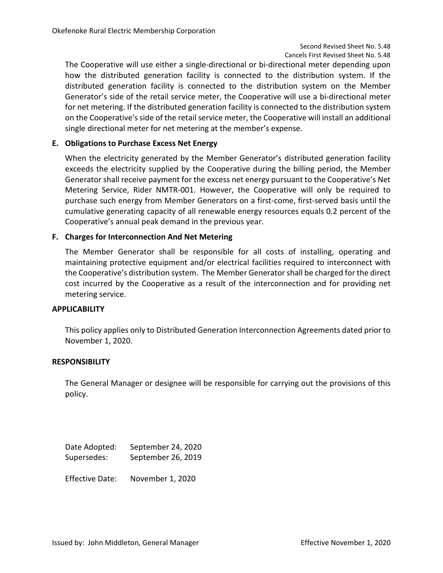The Cooperative will use either a single-directional or bi-directional meter depending upon how the distributed generation facility is connected to the distribution system. If the distributed generation facility is connected to the distribution system on the Member Generator's side of the retail service meter, the Cooperative will use a bi-directional meter for net metering. If the distributed generation facility is connected to the distribution system on the Cooperative's side of the retail service meter, the Cooperative will install an additional single directional meter for net metering at the member's expense.

## **E. Obligations to Purchase Excess Net Energy**

When the electricity generated by the Member Generator's distributed generation facility exceeds the electricity supplied by the Cooperative during the billing period, the Member Generator shall receive payment for the excess net energy pursuant to the Cooperative's Net Metering Service, Rider NMTR-001. However, the Cooperative will only be required to purchase such energy from Member Generators on a first-come, first-served basis until the cumulative generating capacity of all renewable energy resources equals 0.2 percent of the Cooperative's annual peak demand in the previous year.

## **F. Charges for Interconnection And Net Metering**

The Member Generator shall be responsible for all costs of installing, operating and maintaining protective equipment and/or electrical facilities required to interconnect with the Cooperative's distribution system. The Member Generator shall be charged for the direct cost incurred by the Cooperative as a result of the interconnection and for providing net metering service.

## **APPLICABILITY**

This policy applies only to Distributed Generation Interconnection Agreements dated prior to November 1, 2020.

## **RESPONSIBILITY**

The General Manager or designee will be responsible for carrying out the provisions of this policy.

| Date Adopted: | September 24, 2020 |
|---------------|--------------------|
| Supersedes:   | September 26, 2019 |
|               |                    |

Effective Date: November 1, 2020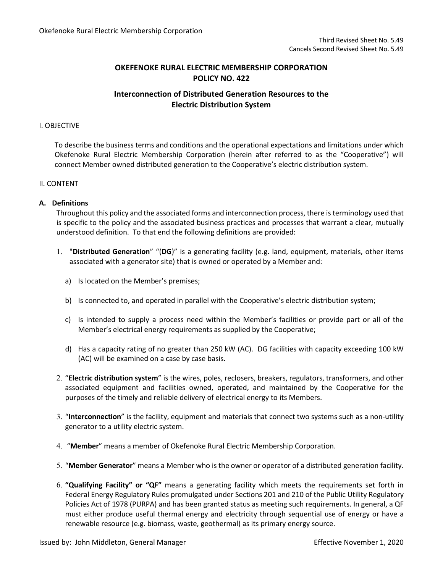# **Interconnection of Distributed Generation Resources to the Electric Distribution System**

### I. OBJECTIVE

To describe the business terms and conditions and the operational expectations and limitations under which Okefenoke Rural Electric Membership Corporation (herein after referred to as the "Cooperative") will connect Member owned distributed generation to the Cooperative's electric distribution system.

### II. CONTENT

## **A. Definitions**

Throughout this policy and the associated forms and interconnection process, there is terminology used that is specific to the policy and the associated business practices and processes that warrant a clear, mutually understood definition. To that end the following definitions are provided:

- 1. "**Distributed Generation**" "(**DG**)" is a generating facility (e.g. land, equipment, materials, other items associated with a generator site) that is owned or operated by a Member and:
	- a) Is located on the Member's premises;
	- b) Is connected to, and operated in parallel with the Cooperative's electric distribution system;
	- c) Is intended to supply a process need within the Member's facilities or provide part or all of the Member's electrical energy requirements as supplied by the Cooperative;
	- d) Has a capacity rating of no greater than 250 kW (AC). DG facilities with capacity exceeding 100 kW (AC) will be examined on a case by case basis.
- 2. "**Electric distribution system**" is the wires, poles, reclosers, breakers, regulators, transformers, and other associated equipment and facilities owned, operated, and maintained by the Cooperative for the purposes of the timely and reliable delivery of electrical energy to its Members.
- 3. "**Interconnection**" is the facility, equipment and materials that connect two systems such as a non-utility generator to a utility electric system.
- 4. "**Member**" means a member of Okefenoke Rural Electric Membership Corporation.
- 5. "**Member Generator**" means a Member who is the owner or operator of a distributed generation facility.
- 6. **"Qualifying Facility" or "QF"** means a generating facility which meets the requirements set forth in Federal Energy Regulatory Rules promulgated under Sections 201 and 210 of the Public Utility Regulatory Policies Act of 1978 (PURPA) and has been granted status as meeting such requirements. In general, a QF must either produce useful thermal energy and electricity through sequential use of energy or have a renewable resource (e.g. biomass, waste, geothermal) as its primary energy source.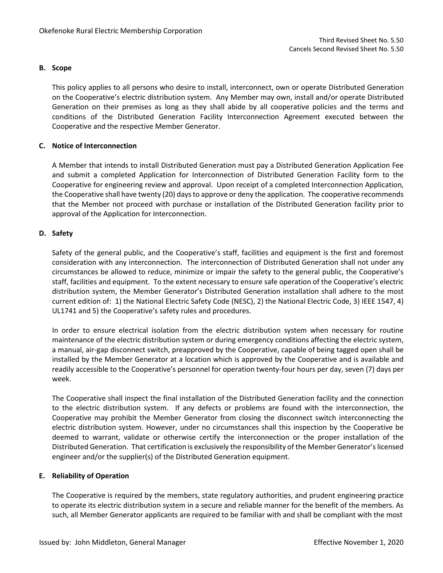## **B. Scope**

This policy applies to all persons who desire to install, interconnect, own or operate Distributed Generation on the Cooperative's electric distribution system. Any Member may own, install and/or operate Distributed Generation on their premises as long as they shall abide by all cooperative policies and the terms and conditions of the Distributed Generation Facility Interconnection Agreement executed between the Cooperative and the respective Member Generator.

## **C. Notice of Interconnection**

A Member that intends to install Distributed Generation must pay a Distributed Generation Application Fee and submit a completed Application for Interconnection of Distributed Generation Facility form to the Cooperative for engineering review and approval. Upon receipt of a completed Interconnection Application, the Cooperative shall have twenty (20) days to approve or deny the application. The cooperative recommends that the Member not proceed with purchase or installation of the Distributed Generation facility prior to approval of the Application for Interconnection.

## **D. Safety**

Safety of the general public, and the Cooperative's staff, facilities and equipment is the first and foremost consideration with any interconnection. The interconnection of Distributed Generation shall not under any circumstances be allowed to reduce, minimize or impair the safety to the general public, the Cooperative's staff, facilities and equipment. To the extent necessary to ensure safe operation of the Cooperative's electric distribution system, the Member Generator's Distributed Generation installation shall adhere to the most current edition of: 1) the National Electric Safety Code (NESC), 2) the National Electric Code, 3) IEEE 1547, 4) UL1741 and 5) the Cooperative's safety rules and procedures.

In order to ensure electrical isolation from the electric distribution system when necessary for routine maintenance of the electric distribution system or during emergency conditions affecting the electric system, a manual, air-gap disconnect switch, preapproved by the Cooperative, capable of being tagged open shall be installed by the Member Generator at a location which is approved by the Cooperative and is available and readily accessible to the Cooperative's personnel for operation twenty-four hours per day, seven (7) days per week.

The Cooperative shall inspect the final installation of the Distributed Generation facility and the connection to the electric distribution system. If any defects or problems are found with the interconnection, the Cooperative may prohibit the Member Generator from closing the disconnect switch interconnecting the electric distribution system. However, under no circumstances shall this inspection by the Cooperative be deemed to warrant, validate or otherwise certify the interconnection or the proper installation of the Distributed Generation. That certification is exclusively the responsibility of the Member Generator's licensed engineer and/or the supplier(s) of the Distributed Generation equipment.

## **E. Reliability of Operation**

The Cooperative is required by the members, state regulatory authorities, and prudent engineering practice to operate its electric distribution system in a secure and reliable manner for the benefit of the members. As such, all Member Generator applicants are required to be familiar with and shall be compliant with the most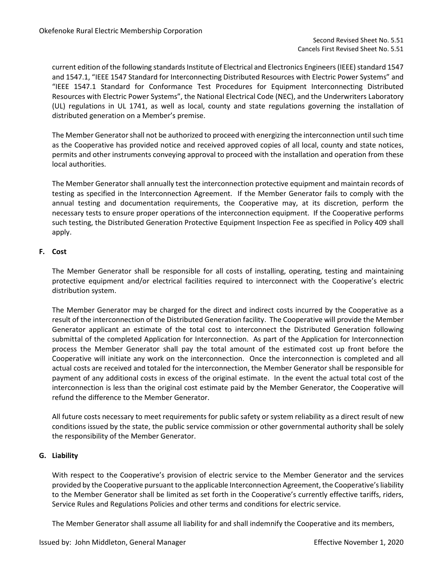current edition of the following standards Institute of Electrical and Electronics Engineers (IEEE) standard 1547 and 1547.1, "IEEE 1547 Standard for Interconnecting Distributed Resources with Electric Power Systems" and "IEEE 1547.1 Standard for Conformance Test Procedures for Equipment Interconnecting Distributed Resources with Electric Power Systems", the National Electrical Code (NEC), and the Underwriters Laboratory (UL) regulations in UL 1741, as well as local, county and state regulations governing the installation of distributed generation on a Member's premise.

The Member Generator shall not be authorized to proceed with energizing the interconnection until such time as the Cooperative has provided notice and received approved copies of all local, county and state notices, permits and other instruments conveying approval to proceed with the installation and operation from these local authorities.

The Member Generator shall annually test the interconnection protective equipment and maintain records of testing as specified in the Interconnection Agreement. If the Member Generator fails to comply with the annual testing and documentation requirements, the Cooperative may, at its discretion, perform the necessary tests to ensure proper operations of the interconnection equipment. If the Cooperative performs such testing, the Distributed Generation Protective Equipment Inspection Fee as specified in Policy 409 shall apply.

## **F. Cost**

The Member Generator shall be responsible for all costs of installing, operating, testing and maintaining protective equipment and/or electrical facilities required to interconnect with the Cooperative's electric distribution system.

The Member Generator may be charged for the direct and indirect costs incurred by the Cooperative as a result of the interconnection of the Distributed Generation facility. The Cooperative will provide the Member Generator applicant an estimate of the total cost to interconnect the Distributed Generation following submittal of the completed Application for Interconnection. As part of the Application for Interconnection process the Member Generator shall pay the total amount of the estimated cost up front before the Cooperative will initiate any work on the interconnection. Once the interconnection is completed and all actual costs are received and totaled for the interconnection, the Member Generator shall be responsible for payment of any additional costs in excess of the original estimate. In the event the actual total cost of the interconnection is less than the original cost estimate paid by the Member Generator, the Cooperative will refund the difference to the Member Generator.

All future costs necessary to meet requirements for public safety or system reliability as a direct result of new conditions issued by the state, the public service commission or other governmental authority shall be solely the responsibility of the Member Generator.

## **G. Liability**

With respect to the Cooperative's provision of electric service to the Member Generator and the services provided by the Cooperative pursuant to the applicable Interconnection Agreement, the Cooperative's liability to the Member Generator shall be limited as set forth in the Cooperative's currently effective tariffs, riders, Service Rules and Regulations Policies and other terms and conditions for electric service.

The Member Generator shall assume all liability for and shall indemnify the Cooperative and its members,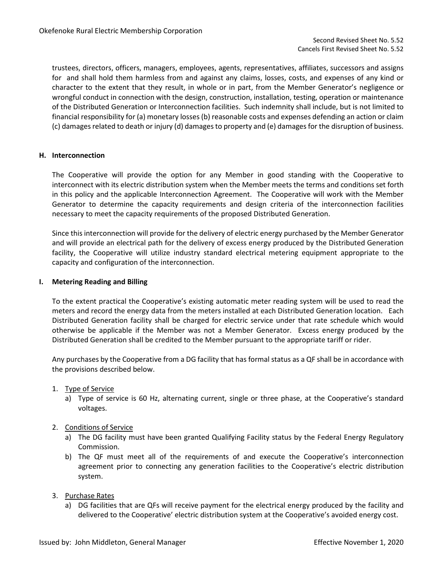trustees, directors, officers, managers, employees, agents, representatives, affiliates, successors and assigns for and shall hold them harmless from and against any claims, losses, costs, and expenses of any kind or character to the extent that they result, in whole or in part, from the Member Generator's negligence or wrongful conduct in connection with the design, construction, installation, testing, operation or maintenance of the Distributed Generation or Interconnection facilities. Such indemnity shall include, but is not limited to financial responsibility for (a) monetary losses (b) reasonable costs and expenses defending an action or claim (c) damages related to death or injury (d) damages to property and (e) damages for the disruption of business.

### **H. Interconnection**

The Cooperative will provide the option for any Member in good standing with the Cooperative to interconnect with its electric distribution system when the Member meets the terms and conditions set forth in this policy and the applicable Interconnection Agreement. The Cooperative will work with the Member Generator to determine the capacity requirements and design criteria of the interconnection facilities necessary to meet the capacity requirements of the proposed Distributed Generation.

Since this interconnection will provide for the delivery of electric energy purchased by the Member Generator and will provide an electrical path for the delivery of excess energy produced by the Distributed Generation facility, the Cooperative will utilize industry standard electrical metering equipment appropriate to the capacity and configuration of the interconnection.

### **I. Metering Reading and Billing**

To the extent practical the Cooperative's existing automatic meter reading system will be used to read the meters and record the energy data from the meters installed at each Distributed Generation location. Each Distributed Generation facility shall be charged for electric service under that rate schedule which would otherwise be applicable if the Member was not a Member Generator. Excess energy produced by the Distributed Generation shall be credited to the Member pursuant to the appropriate tariff or rider.

Any purchases by the Cooperative from a DG facility that has formal status as a QF shall be in accordance with the provisions described below.

- 1. Type of Service
	- a) Type of service is 60 Hz, alternating current, single or three phase, at the Cooperative's standard voltages.
- 2. Conditions of Service
	- a) The DG facility must have been granted Qualifying Facility status by the Federal Energy Regulatory Commission.
	- b) The QF must meet all of the requirements of and execute the Cooperative's interconnection agreement prior to connecting any generation facilities to the Cooperative's electric distribution system.
- 3. Purchase Rates
	- a) DG facilities that are QFs will receive payment for the electrical energy produced by the facility and delivered to the Cooperative' electric distribution system at the Cooperative's avoided energy cost.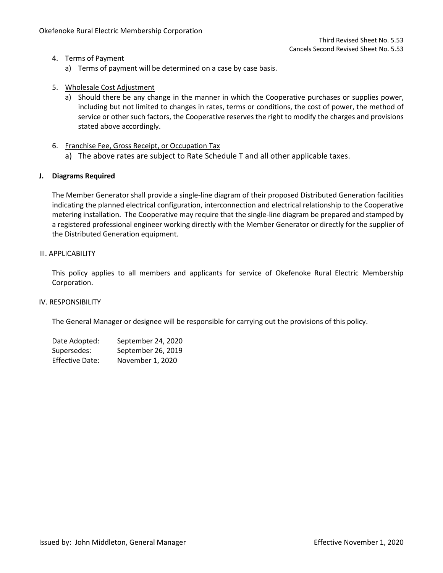## 4. Terms of Payment

- a) Terms of payment will be determined on a case by case basis.
- 5. Wholesale Cost Adjustment
	- a) Should there be any change in the manner in which the Cooperative purchases or supplies power, including but not limited to changes in rates, terms or conditions, the cost of power, the method of service or other such factors, the Cooperative reserves the right to modify the charges and provisions stated above accordingly.
- 6. Franchise Fee, Gross Receipt, or Occupation Tax
	- a) The above rates are subject to Rate Schedule T and all other applicable taxes.

## **J. Diagrams Required**

The Member Generator shall provide a single-line diagram of their proposed Distributed Generation facilities indicating the planned electrical configuration, interconnection and electrical relationship to the Cooperative metering installation. The Cooperative may require that the single-line diagram be prepared and stamped by a registered professional engineer working directly with the Member Generator or directly for the supplier of the Distributed Generation equipment.

## III. APPLICABILITY

This policy applies to all members and applicants for service of Okefenoke Rural Electric Membership Corporation.

## IV. RESPONSIBILITY

The General Manager or designee will be responsible for carrying out the provisions of this policy.

| Date Adopted:          | September 24, 2020 |
|------------------------|--------------------|
| Supersedes:            | September 26, 2019 |
| <b>Effective Date:</b> | November 1, 2020   |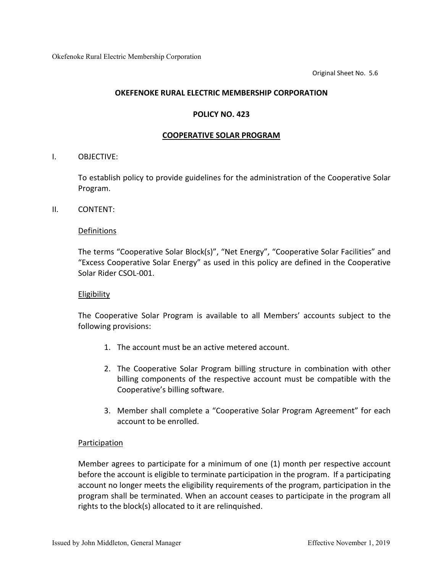Original Sheet No. 5.6

## **OKEFENOKE RURAL ELECTRIC MEMBERSHIP CORPORATION**

### **POLICY NO. 423**

### **COOPERATIVE SOLAR PROGRAM**

## I. OBJECTIVE:

To establish policy to provide guidelines for the administration of the Cooperative Solar Program.

II. CONTENT:

## Definitions

The terms "Cooperative Solar Block(s)", "Net Energy", "Cooperative Solar Facilities" and "Excess Cooperative Solar Energy" as used in this policy are defined in the Cooperative Solar Rider CSOL-001.

### Eligibility

The Cooperative Solar Program is available to all Members' accounts subject to the following provisions:

- 1. The account must be an active metered account.
- 2. The Cooperative Solar Program billing structure in combination with other billing components of the respective account must be compatible with the Cooperative's billing software.
- 3. Member shall complete a "Cooperative Solar Program Agreement" for each account to be enrolled.

# **Participation**

Member agrees to participate for a minimum of one (1) month per respective account before the account is eligible to terminate participation in the program. If a participating account no longer meets the eligibility requirements of the program, participation in the program shall be terminated. When an account ceases to participate in the program all rights to the block(s) allocated to it are relinquished.